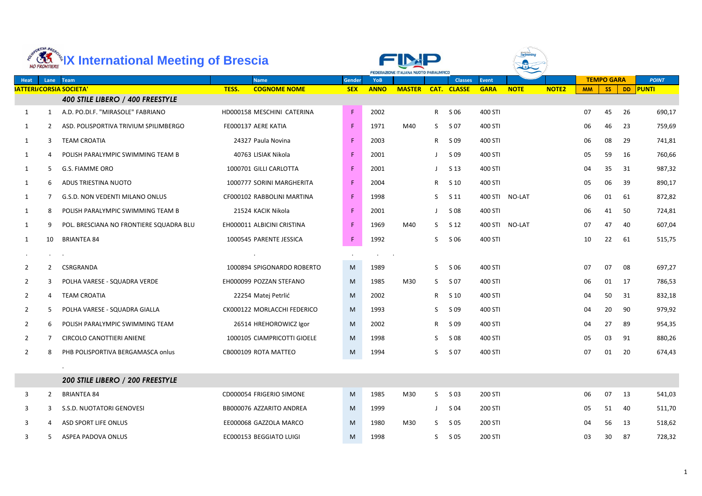|                | ORTIVA BRE            | <b>KK *IX International Meeting of Brescia</b> |       |                             |            |             | FEDERAZIONE ITALIANA NUOTO PARALIMPICO |              |                    |              |                |              |           |                   |     |              |
|----------------|-----------------------|------------------------------------------------|-------|-----------------------------|------------|-------------|----------------------------------------|--------------|--------------------|--------------|----------------|--------------|-----------|-------------------|-----|--------------|
| Heat           |                       | Lane Team                                      |       | <b>Name</b>                 | Gender     | <b>YoB</b>  |                                        |              | <b>Classes</b>     | <b>Event</b> |                |              |           | <b>TEMPO GARA</b> |     | <b>POINT</b> |
|                |                       | <b>SATTERI/CORSIA SOCIETA'</b>                 | TESS. | <b>COGNOME NOME</b>         | <b>SEX</b> | <b>ANNO</b> | <b>MASTER</b>                          |              | <b>CAT. CLASSE</b> | <b>GARA</b>  | <b>NOTE</b>    | <b>NOTE2</b> | <b>MM</b> | SS                |     | DD PUNTI     |
|                |                       | 400 STILE LIBERO / 400 FREESTYLE               |       |                             |            |             |                                        |              |                    |              |                |              |           |                   |     |              |
| 1              | $\mathbf{1}$          | A.D. PO.DI.F. "MIRASOLE" FABRIANO              |       | HD000158 MESCHINI CATERINA  | F.         | 2002        |                                        | $\mathsf{R}$ | S 06               | 400 STI      |                |              | 07        | 45                | 26  | 690,17       |
| $\mathbf{1}$   | 2                     | ASD. POLISPORTIVA TRIVIUM SPILIMBERGO          |       | FE000137 AERE KATIA         | F          | 1971        | M40                                    | S.           | S 07               | 400 STI      |                |              | 06        | 46                | 23  | 759,69       |
| 1              | 3                     | <b>TEAM CROATIA</b>                            |       | 24327 Paula Novina          | F.         | 2003        |                                        | R            | S 09               | 400 STI      |                |              | 06        | 08                | 29  | 741,81       |
| 1              | 4                     | POLISH PARALYMPIC SWIMMING TEAM B              |       | 40763 LISIAK Nikola         | F          | 2001        |                                        |              | S 09               | 400 STI      |                |              | 05        | 59                | 16  | 760,66       |
| $\mathbf{1}$   | 5.                    | <b>G.S. FIAMME ORO</b>                         |       | 1000701 GILLI CARLOTTA      | F.         | 2001        |                                        |              | S 13               | 400 STI      |                |              | 04        | 35                | 31  | 987,32       |
| 1              | 6                     | ADUS TRIESTINA NUOTO                           |       | 1000777 SORINI MARGHERITA   | F.         | 2004        |                                        | $R_{\perp}$  | S <sub>10</sub>    | 400 STI      |                |              | 05        | 06                | 39  | 890,17       |
| $\mathbf{1}$   |                       | G.S.D. NON VEDENTI MILANO ONLUS                |       | CF000102 RABBOLINI MARTINA  | F.         | 1998        |                                        | S.           | S 11               |              | 400 STI NO-LAT |              | 06        | 01                | 61  | 872,82       |
| 1              | 8                     | POLISH PARALYMPIC SWIMMING TEAM B              |       | 21524 KACIK Nikola          | F.         | 2001        |                                        |              | S 08               | 400 STI      |                |              | 06        | 41                | -50 | 724,81       |
| 1              | 9                     | POL. BRESCIANA NO FRONTIERE SQUADRA BLU        |       | EH000011 ALBICINI CRISTINA  | F          | 1969        | M40                                    | S.           | S 12               |              | 400 STI NO-LAT |              | 07        | 47                | 40  | 607,04       |
| 1              | 10                    | <b>BRIANTEA 84</b>                             |       | 1000545 PARENTE JESSICA     | F.         | 1992        |                                        | S.           | S 06               | 400 STI      |                |              | 10        | 22                | 61  | 515,75       |
|                |                       |                                                |       |                             |            |             |                                        |              |                    |              |                |              |           |                   |     |              |
| $\overline{2}$ | $\mathbf{2}^{\prime}$ | CSRGRANDA                                      |       | 1000894 SPIGONARDO ROBERTO  | M          | 1989        |                                        | S.           | S 06               | 400 STI      |                |              | 07        | 07                | 08  | 697,27       |
| 2              | 3                     | POLHA VARESE - SQUADRA VERDE                   |       | EH000099 POZZAN STEFANO     | M          | 1985        | M30                                    | S.           | S 07               | 400 STI      |                |              | 06        | 01                | 17  | 786,53       |
| 2              | 4                     | <b>TEAM CROATIA</b>                            |       | 22254 Matej Petrlić         | M          | 2002        |                                        | R.           | S 10               | 400 STI      |                |              | 04        | 50                | 31  | 832,18       |
| $\mathbf{2}$   |                       | POLHA VARESE - SQUADRA GIALLA                  |       | CK000122 MORLACCHI FEDERICO | M          | 1993        |                                        | S.           | S 09               | 400 STI      |                |              | 04        | 20                | 90  | 979,92       |
|                |                       | 6 POLISH PARALYMPIC SWIMMING TEAM              |       | 26514 HREHOROWICZ Igor      | M          | 2002        |                                        |              | R S 09             | 400 STI      |                |              | 04        | 27                | 89  | 954,35       |
| $\mathbf{2}$   |                       | <b>CIRCOLO CANOTTIERI ANIENE</b>               |       | 1000105 CIAMPRICOTTI GIOELE | M          | 1998        |                                        | S.           | S 08               | 400 STI      |                |              | 05        | 03                | 91  | 880,26       |
| $\overline{2}$ | 8                     | PHB POLISPORTIVA BERGAMASCA onlus              |       | CB000109 ROTA MATTEO        | M          | 1994        |                                        | S.           | S 07               | 400 STI      |                |              | 07        | 01                | 20  | 674,43       |
|                |                       |                                                |       |                             |            |             |                                        |              |                    |              |                |              |           |                   |     |              |
|                |                       | 200 STILE LIBERO / 200 FREESTYLE               |       |                             |            |             |                                        |              |                    |              |                |              |           |                   |     |              |
| $\mathbf{3}$   | $\mathbf{2}$          | <b>BRIANTEA 84</b>                             |       | CD000054 FRIGERIO SIMONE    | M          | 1985        | M30                                    | S.           | S 03               | 200 STI      |                |              | 06        | 07                | 13  | 541,03       |
| 3              | 3                     | S.S.D. NUOTATORI GENOVESI                      |       | BB000076 AZZARITO ANDREA    | M          | 1999        |                                        |              | S 04               | 200 STI      |                |              | 05        | 51                | 40  | 511,70       |
| $\mathbf{3}$   | 4                     | ASD SPORT LIFE ONLUS                           |       | EE000068 GAZZOLA MARCO      | M          | 1980        | M30                                    |              | $S$ $S$ 05         | 200 STI      |                |              | 04        | 56                | 13  | 518,62       |
| 3              | 5.                    | ASPEA PADOVA ONLUS                             |       | EC000153 BEGGIATO LUIGI     | M          | 1998        |                                        | S.           | S 05               | 200 STI      |                |              | 03        | 30 <sup>°</sup>   | 87  | 728,32       |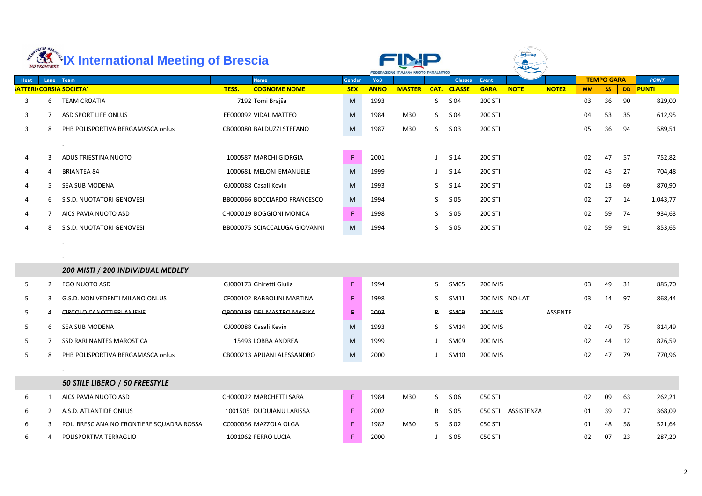|             | ORTIVA BRE   | <b><b>AMERITA International Meeting of Brescia</b></b> |                               |             |             | <b>FEDERAZIONE ITALIANA NUOTO PARALIMPICO</b> |      |                |              |                    |              |           |                   |           |              |
|-------------|--------------|--------------------------------------------------------|-------------------------------|-------------|-------------|-----------------------------------------------|------|----------------|--------------|--------------------|--------------|-----------|-------------------|-----------|--------------|
| <b>Heat</b> |              | Lane Team                                              | <b>Name</b>                   | Gender      | YoB         |                                               |      | <b>Classes</b> | <b>Event</b> |                    |              |           | <b>TEMPO GARA</b> |           | <b>POINT</b> |
|             |              | <b>SATTERI/CORSIA SOCIETA'</b>                         | TESS.<br><b>COGNOME NOME</b>  | <b>SEX</b>  | <b>ANNO</b> | <b>MASTER</b>                                 | CAT. | <b>CLASSE</b>  | <b>GARA</b>  | <b>NOTE</b>        | <b>NOTE2</b> | <b>MM</b> | SS                | <b>DD</b> | <b>PUNTI</b> |
| 3           | 6            | <b>TEAM CROATIA</b>                                    | 7192 Tomi Brajša              | M           | 1993        |                                               | S.   | S 04           | 200 STI      |                    |              | 03        | 36                | 90        | 829,00       |
| 3           |              | ASD SPORT LIFE ONLUS                                   | EE000092 VIDAL MATTEO         | M           | 1984        | M30                                           | S    | S 04           | 200 STI      |                    |              | 04        | 53                | 35        | 612,95       |
| 3           | 8            | PHB POLISPORTIVA BERGAMASCA onlus                      | CB000080 BALDUZZI STEFANO     | M           | 1987        | M30                                           | S.   | $S$ 03         | 200 STI      |                    |              | 05        | 36                | 94        | 589,51       |
|             |              |                                                        |                               |             |             |                                               |      |                |              |                    |              |           |                   |           |              |
| 4           | 3            | ADUS TRIESTINA NUOTO                                   | 1000587 MARCHI GIORGIA        | $\mathsf F$ | 2001        |                                               |      | S 14           | 200 STI      |                    |              | 02        | 47                | 57        | 752,82       |
| 4           | 4            | <b>BRIANTEA 84</b>                                     | 1000681 MELONI EMANUELE       | M           | 1999        |                                               |      | S 14           | 200 STI      |                    |              | 02        | 45                | 27        | 704,48       |
| 4           | 5            | SEA SUB MODENA                                         | GJ000088 Casali Kevin         | M           | 1993        |                                               | S    | S 14           | 200 STI      |                    |              | 02        | 13                | -69       | 870,90       |
| 4           | 6            | S.S.D. NUOTATORI GENOVESI                              | BB000066 BOCCIARDO FRANCESCO  | M           | 1994        |                                               | S    | S 05           | 200 STI      |                    |              | 02        | 27                | 14        | 1.043,77     |
| 4           |              | AICS PAVIA NUOTO ASD                                   | CH000019 BOGGIONI MONICA      | F           | 1998        |                                               | S    | S 05           | 200 STI      |                    |              | 02        | 59                | 74        | 934,63       |
| 4           | 8            | S.S.D. NUOTATORI GENOVESI                              | BB000075 SCIACCALUGA GIOVANNI | M           | 1994        |                                               | S    | S 05           | 200 STI      |                    |              | 02        | 59                | 91        | 853,65       |
|             |              |                                                        |                               |             |             |                                               |      |                |              |                    |              |           |                   |           |              |
|             |              |                                                        |                               |             |             |                                               |      |                |              |                    |              |           |                   |           |              |
|             |              | 200 MISTI / 200 INDIVIDUAL MEDLEY                      |                               |             |             |                                               |      |                |              |                    |              |           |                   |           |              |
| 5           | 2            | EGO NUOTO ASD                                          | GJ000173 Ghiretti Giulia      | $\mathsf F$ | 1994        |                                               | S    | SM05           | 200 MIS      |                    |              | 03        | 49                | 31        | 885,70       |
| 5           | 3            | G.S.D. NON VEDENTI MILANO ONLUS                        | CF000102 RABBOLINI MARTINA    | F           | 1998        |                                               | S    | SM11           |              | 200 MIS NO-LAT     |              | 03        | 14                | 97        | 868,44       |
| 5           |              | <b>CIRCOLO CANOTTIERI ANIENE</b>                       | QB000189 DEL MASTRO MARIKA    | £.          | 2003        |                                               | R    | <b>SM09</b>    | 200 MIS      |                    | ASSENTE      |           |                   |           |              |
| 5           | ь            | SEA SUB MODENA                                         | GJ000088 Casali Kevin         | M           | 1993        |                                               | S.   | SM14           | 200 MIS      |                    |              | 02        | 40 75             |           | 814,49       |
| 5           |              | SSD RARI NANTES MAROSTICA                              | 15493 LOBBA ANDREA            | M           | 1999        |                                               |      | SM09           | 200 MIS      |                    |              | 02        | 44                | 12        | 826,59       |
| 5           | 8            | PHB POLISPORTIVA BERGAMASCA onlus                      | CB000213 APUANI ALESSANDRO    | M           | 2000        |                                               |      | SM10           | 200 MIS      |                    |              | 02        | 47                | 79        | 770,96       |
|             |              |                                                        |                               |             |             |                                               |      |                |              |                    |              |           |                   |           |              |
|             |              | 50 STILE LIBERO / 50 FREESTYLE                         |                               |             |             |                                               |      |                |              |                    |              |           |                   |           |              |
| 6           | 1            | AICS PAVIA NUOTO ASD                                   | CH000022 MARCHETTI SARA       | $\mathsf F$ | 1984        | M30                                           | S    | S 06           | 050 STI      |                    |              | 02        | 09                | 63        | 262,21       |
| 6           | $\mathbf{2}$ | A.S.D. ATLANTIDE ONLUS                                 | 1001505 DUDUIANU LARISSA      | $\mathsf F$ | 2002        |                                               | R    | S 05           |              | 050 STI ASSISTENZA |              | 01        | 39                | 27        | 368,09       |
| 6           | 3            | POL. BRESCIANA NO FRONTIERE SQUADRA ROSSA              | CC000056 MAZZOLA OLGA         | F.          | 1982        | M30                                           | S.   | S 02           | 050 STI      |                    |              | 01        | 48                | 58        | 521,64       |
| 6           | 4            | POLISPORTIVA TERRAGLIO                                 | 1001062 FERRO LUCIA           | F.          | 2000        |                                               |      | S 05           | 050 STI      |                    |              | 02        | 07                | 23        | 287,20       |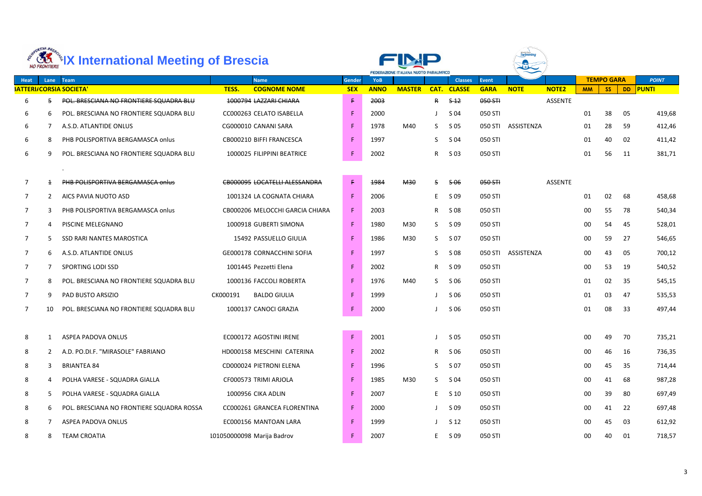|             | ORTIVA BRES<br><b>NO FRONTIERE</b> | <b>KK *IX International Meeting of Brescia</b> |                                      |               |             | FEDERAZIONE ITALIANA NUOTO PARALIMPICO |                 |                    |              |             |                |           |                   |    |              |
|-------------|------------------------------------|------------------------------------------------|--------------------------------------|---------------|-------------|----------------------------------------|-----------------|--------------------|--------------|-------------|----------------|-----------|-------------------|----|--------------|
| <b>Heat</b> |                                    | Lane Team                                      | <b>Name</b>                          | <b>Gender</b> | <b>YoB</b>  |                                        |                 | <b>Classes</b>     | <b>Event</b> |             |                |           | <b>TEMPO GARA</b> |    | <b>POINT</b> |
|             |                                    | <b>SATTERI/CORSIA SOCIETA'</b>                 | TESS.<br><b>COGNOME NOME</b>         | <b>SEX</b>    | <b>ANNO</b> | <b>MASTER</b>                          |                 | <b>CAT. CLASSE</b> | <b>GARA</b>  | <b>NOTE</b> | <b>NOTE2</b>   | <b>MM</b> | <b>SS</b>         |    | DD PUNTI     |
| 6           | 5                                  | POL. BRESCIANA NO FRONTIERE SQUADRA BLU        | 1000794 LAZZARI CHIARA               | F.            | 2003        |                                        | R               | $5 - 12$           | 050 STI      |             | <b>ASSENTE</b> |           |                   |    |              |
| 6           | 6                                  | POL. BRESCIANA NO FRONTIERE SQUADRA BLU        | CC000263 CELATO ISABELLA             | F.            | 2000        |                                        |                 | S 04               | 050 STI      |             |                | 01        | 38                | 05 | 419,68       |
| 6           |                                    | A.S.D. ATLANTIDE ONLUS                         | CG000010 CANANI SARA                 | F.            | 1978        | M40                                    | S               | S 05               | 050 STI      | ASSISTENZA  |                | 01        | 28                | 59 | 412,46       |
| 6           | 8                                  | PHB POLISPORTIVA BERGAMASCA onlus              | CB000210 BIFFI FRANCESCA             | F.            | 1997        |                                        | S               | S 04               | 050 STI      |             |                | 01        | 40                | 02 | 411,42       |
| 6           | 9                                  | POL. BRESCIANA NO FRONTIERE SQUADRA BLU        | 1000025 FILIPPINI BEATRICE           | F.            | 2002        |                                        | R               | S 03               | 050 STI      |             |                | 01        | 56                | 11 | 381,71       |
|             |                                    | $\bullet$                                      |                                      |               |             |                                        |                 |                    |              |             |                |           |                   |    |              |
| 7           | $\pm$                              | PHB POLISPORTIVA BERGAMASCA onlus              | <b>CB000095 LOCATELLI ALESSANDRA</b> | F.            | 1984        | <b>M30</b>                             | S.              | <del>506</del>     | 050 STI      |             | <b>ASSENTE</b> |           |                   |    |              |
| 7           | 2                                  | AICS PAVIA NUOTO ASD                           | 1001324 LA COGNATA CHIARA            | F.            | 2006        |                                        | E.              | S 09               | 050 STI      |             |                | 01        | 02                | 68 | 458,68       |
| 7           | 3                                  | PHB POLISPORTIVA BERGAMASCA onlus              | CB000206 MELOCCHI GARCIA CHIARA      | F.            | 2003        |                                        | R.              | S 08               | 050 STI      |             |                | 00        | 55                | 78 | 540,34       |
| 7           | 4                                  | PISCINE MELEGNANO                              | 1000918 GUBERTI SIMONA               | F.            | 1980        | M30                                    | S.              | S 09               | 050 STI      |             |                | 00        | 54                | 45 | 528,01       |
| 7           | 5                                  | SSD RARI NANTES MAROSTICA                      | 15492 PASSUELLO GIULIA               | F.            | 1986        | M30                                    | S.              | S 07               | 050 STI      |             |                | 00        | 59                | 27 | 546,65       |
| 7           | 6                                  | A.S.D. ATLANTIDE ONLUS                         | GE000178 CORNACCHINI SOFIA           | F.            | 1997        |                                        | S               | S 08               | 050 STI      | ASSISTENZA  |                | 00        | 43                | 05 | 700,12       |
| 7           | $\overline{7}$                     | SPORTING LODI SSD                              | 1001445 Pezzetti Elena               | F.            | 2002        |                                        | R.              | S 09               | 050 STI      |             |                | 00        | 53                | 19 | 540,52       |
| 7           | 8                                  | POL. BRESCIANA NO FRONTIERE SQUADRA BLU        | 1000136 FACCOLI ROBERTA              | F.            | 1976        | M40                                    | S.              | S 06               | 050 STI      |             |                | 01        | 02                | 35 | 545,15       |
|             | 9                                  | PAD BUSTO ARSIZIO                              | CK000191<br><b>BALDO GIULIA</b>      | F.            | 1999        |                                        |                 | S 06               | 050 STI      |             |                | 01        | 03                | 47 | 535,53       |
| 7           | 10.                                | POL. BRESCIANA NO FRONTIERE SQUADRA BLU        | 1000137 CANOCI GRAZIA                | F.            | 2000        |                                        |                 | S 06               | 050 STI      |             |                | 01        | 08                | 33 | 497,44       |
|             |                                    |                                                |                                      |               |             |                                        |                 |                    |              |             |                |           |                   |    |              |
| 8           |                                    | ASPEA PADOVA ONLUS                             | EC000172 AGOSTINI IRENE              | $\mathsf F$   | 2001        |                                        |                 | S 05               | 050 STI      |             |                | 00        | 49                | 70 | 735,21       |
| 8           | $\mathbf{2}$                       | A.D. PO.DI.F. "MIRASOLE" FABRIANO              | HD000158 MESCHINI CATERINA           | F.            | 2002        |                                        | R.              | S 06               | 050 STI      |             |                | 00        | 46                | 16 | 736,35       |
| 8           | 3                                  | <b>BRIANTEA 84</b>                             | CD000024 PIETRONI ELENA              | F.            | 1996        |                                        | S.              | S 07               | 050 STI      |             |                | 00        | 45                | 35 | 714,44       |
| 8           | 4                                  | POLHA VARESE - SQUADRA GIALLA                  | CF000573 TRIMI ARJOLA                | F.            | 1985        | M30                                    | S.              | S 04               | 050 STI      |             |                | 00        | 41                | 68 | 987,28       |
| 8           | 5.                                 | POLHA VARESE - SQUADRA GIALLA                  | 1000956 CIKA ADLIN                   | F.            | 2007        |                                        | $E_{\parallel}$ | $S$ 10             | 050 STI      |             |                | $00\,$    | 39                | 80 | 697,49       |
| 8           | 6                                  | POL. BRESCIANA NO FRONTIERE SQUADRA ROSSA      | CC000261 GRANCEA FLORENTINA          | F.            | 2000        |                                        |                 | S 09               | 050 STI      |             |                | $00\,$    | 41                | 22 | 697,48       |
| 8           |                                    | ASPEA PADOVA ONLUS                             | EC000156 MANTOAN LARA                | F.            | 1999        |                                        |                 | S <sub>12</sub>    | 050 STI      |             |                | $00\,$    | 45                | 03 | 612,92       |
| 8           | 8                                  | <b>TEAM CROATIA</b>                            | 101050000098 Marija Badrov           | F.            | 2007        |                                        | $E_{\parallel}$ | S 09               | 050 STI      |             |                | $00\,$    | 40                | 01 | 718,57       |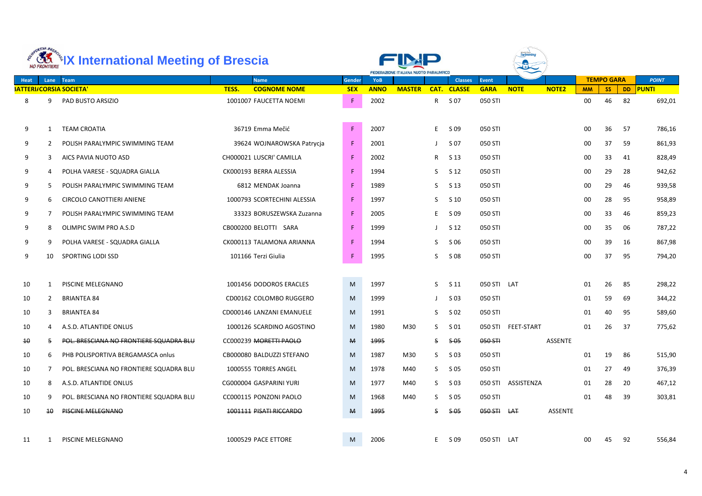|                 | ORTIVA BRES     | <b>ARELY International Meeting of Brescia</b>       |                                                        |                  | FEDERAZIONE ITALIANA NUOTO PARALIMPICO |               |                      |                       |                        |                    |              |                 |                   |                 |                        |
|-----------------|-----------------|-----------------------------------------------------|--------------------------------------------------------|------------------|----------------------------------------|---------------|----------------------|-----------------------|------------------------|--------------------|--------------|-----------------|-------------------|-----------------|------------------------|
| <b>Heat</b>     |                 | Lane Team                                           | <b>Name</b>                                            | <b>Gender</b>    | <b>YoB</b>                             |               |                      | <b>Classes</b>        | <b>Event</b>           |                    |              |                 | <b>TEMPO GARA</b> |                 | <b>POINT</b>           |
| 8               | 9               | <b>SATTERI/CORSIA SOCIETA'</b><br>PAD BUSTO ARSIZIO | TESS.<br><b>COGNOME NOME</b><br>1001007 FAUCETTA NOEMI | <b>SEX</b><br>F. | <b>ANNO</b><br>2002                    | <b>MASTER</b> | CAT.<br>$\mathsf{R}$ | <b>CLASSE</b><br>S 07 | <b>GARA</b><br>050 STI | <b>NOTE</b>        | <b>NOTE2</b> | <b>MM</b><br>00 | <b>SS</b><br>46   | <b>DD</b><br>82 | <b>PUNTI</b><br>692,01 |
| 9               |                 | <b>TEAM CROATIA</b>                                 | 36719 Emma Mečić                                       | $\mathsf F$      | 2007                                   |               | E.                   | S 09                  | 050 STI                |                    |              | 00              | 36                | 57              | 786,16                 |
| 9               | 2               | POLISH PARALYMPIC SWIMMING TEAM                     | 39624 WOJNAROWSKA Patrycja                             | F                | 2001                                   |               |                      | S 07                  | 050 STI                |                    |              | 00              | 37                | 59              | 861,93                 |
| 9               | 3               | AICS PAVIA NUOTO ASD                                | CH000021 LUSCRI' CAMILLA                               | F                | 2002                                   |               | R.                   | S 13                  | 050 STI                |                    |              | 00              | 33                | 41              | 828,49                 |
| 9               | 4               | POLHA VARESE - SQUADRA GIALLA                       | CK000193 BERRA ALESSIA                                 | F                | 1994                                   |               | S.                   | S 12                  | 050 STI                |                    |              | $00\,$          | 29                | 28              | 942,62                 |
| 9               | 5.              | POLISH PARALYMPIC SWIMMING TEAM                     | 6812 MENDAK Joanna                                     | F                | 1989                                   |               | S.                   | S <sub>13</sub>       | 050 STI                |                    |              | 00              | 29                | 46              | 939,58                 |
| 9               | 6               | <b>CIRCOLO CANOTTIERI ANIENE</b>                    | 1000793 SCORTECHINI ALESSIA                            | F.               | 1997                                   |               | S.                   | $S$ 10                | 050 STI                |                    |              | 00              | 28                | 95              | 958,89                 |
| 9               | 7               | POLISH PARALYMPIC SWIMMING TEAM                     | 33323 BORUSZEWSKA Zuzanna                              | F                | 2005                                   |               | E.                   | S 09                  | 050 STI                |                    |              | 00              | 33                | 46              | 859,23                 |
| 9               | 8               | OLIMPIC SWIM PRO A.S.D                              | CB000200 BELOTTI SARA                                  | F                | 1999                                   |               |                      | S 12                  | 050 STI                |                    |              | 00              | 35                | 06              | 787,22                 |
| 9               | 9               | POLHA VARESE - SQUADRA GIALLA                       | CK000113 TALAMONA ARIANNA                              | F                | 1994                                   |               | S.                   | S 06                  | 050 STI                |                    |              | 00              | 39                | 16              | 867,98                 |
| 9               | 10              | SPORTING LODI SSD                                   | 101166 Terzi Giulia                                    | F                | 1995                                   |               | S.                   | S 08                  | 050 STI                |                    |              | 00              | 37                | 95              | 794,20                 |
| 10              | 1               | PISCINE MELEGNANO                                   | 1001456 DODOROS ERACLES                                | M                | 1997                                   |               | S.                   | S 11                  | 050 STI LAT            |                    |              | 01              | 26                | 85              | 298,22                 |
| 10              | $\mathbf{2}$    | <b>BRIANTEA 84</b>                                  | CD00162 COLOMBO RUGGERO                                | M                | 1999                                   |               |                      | S 03                  | 050 STI                |                    |              | 01              | 59                | 69              | 344,22                 |
| 10              | 3               | <b>BRIANTEA 84</b>                                  | CD000146 LANZANI EMANUELE                              | M                | 1991                                   |               | S                    | S 02                  | 050 STI                |                    |              | 01              | 40                | 95              | 589,60                 |
| 10              | 4               | A.S.D. ATLANTIDE ONLUS                              | 1000126 SCARDINO AGOSTINO                              | M                | 1980                                   | M30           | S                    | S 01                  |                        | 050 STI FEET-START |              | 01              | 26                | 37              | 775,62                 |
| $\overline{40}$ | 5.              | POL. BRESCIANA NO FRONTIERE SQUADRA BLU             | CC000239 MORETTI PAOLO                                 | $\mathsf{M}$     | 1995                                   |               | S.                   | <del>S 05</del>       | 050 STH                |                    | ASSENTE      |                 |                   |                 |                        |
| 10              | 6               | PHB POLISPORTIVA BERGAMASCA onlus                   | CB000080 BALDUZZI STEFANO                              | M                | 1987                                   | M30           | S.                   | $S$ 03                | 050 STI                |                    |              | 01              | 19                | 86              | 515,90                 |
| 10              | $\overline{7}$  | POL. BRESCIANA NO FRONTIERE SQUADRA BLU             | 1000555 TORRES ANGEL                                   | M                | 1978                                   | M40           | S.                   | S 05                  | 050 STI                |                    |              | 01              | 27                | 49              | 376,39                 |
| 10              | 8               | A.S.D. ATLANTIDE ONLUS                              | CG000004 GASPARINI YURI                                | M                | 1977                                   | M40           | S.                   | S 03                  |                        | 050 STI ASSISTENZA |              | 01              | 28                | 20              | 467,12                 |
| 10              | 9               | POL. BRESCIANA NO FRONTIERE SQUADRA BLU             | CC000115 PONZONI PAOLO                                 | M                | 1968                                   | M40           |                      | $S$ $S$ 05            | 050 STI                |                    |              | 01              | 48                | 39              | 303,81                 |
| 10              | $\overline{40}$ | PISCINE MELEGNANO                                   | 1001111 PISATI RICCARDO                                | $\mathsf{M}$     | 1995                                   |               | S.                   | <del>S 05</del>       | 050 STI LAT            |                    | ASSENTE      |                 |                   |                 |                        |
| 11              |                 | PISCINE MELEGNANO                                   | 1000529 PACE ETTORE                                    | M                | 2006                                   |               | E.                   | S 09                  | 050 STI LAT            |                    |              | 00              | 45                | 92              | 556,84                 |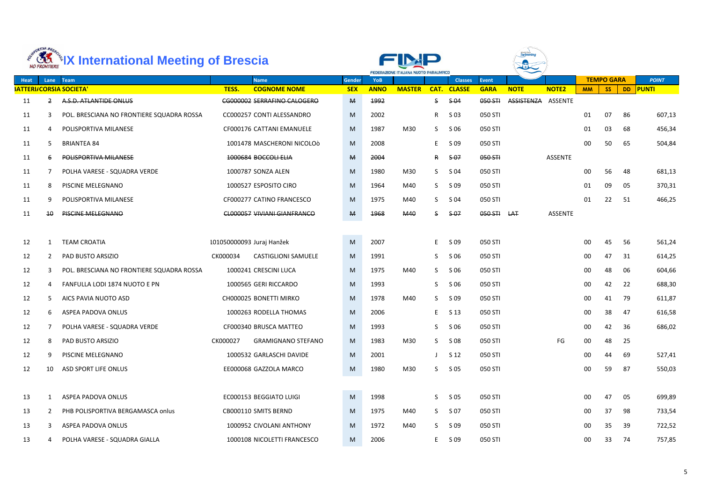|             | ORTIVA BRES           | <b>EXAMPLE 2018 2018 International Meeting of Brescia</b> |          |                                    |               | FEDERAZIONE ITALIANA NUOTO PARALIMPICO |               |             |                  |              |                    |                |           |                   |     |              |
|-------------|-----------------------|-----------------------------------------------------------|----------|------------------------------------|---------------|----------------------------------------|---------------|-------------|------------------|--------------|--------------------|----------------|-----------|-------------------|-----|--------------|
| <b>Heat</b> | Lane                  | Team                                                      |          | <b>Name</b>                        | <b>Gender</b> | <b>YoB</b>                             |               |             | <b>Classes</b>   | <b>Event</b> |                    |                |           | <b>TEMPO GARA</b> |     | <b>POINT</b> |
|             |                       | <b>SATTERI/CORSIA SOCIETA'</b>                            | TESS.    | <b>COGNOME NOME</b>                | <b>SEX</b>    | <b>ANNO</b>                            | <b>MASTER</b> | CAT.        | <b>CLASSE</b>    | <b>GARA</b>  | <b>NOTE</b>        | <b>NOTE2</b>   | <b>MM</b> | <b>SS</b>         |     | DD PUNTI     |
| 11          | 2                     | A.S.D. ATLANTIDE ONLUS                                    |          | CG000002 SERRAFINO CALOGERO        | М             | 1992                                   |               | S           | $$-04$           | 050 STH      | ASSISTENZA ASSENTE |                |           |                   |     |              |
| 11          | 3                     | POL. BRESCIANA NO FRONTIERE SQUADRA ROSSA                 |          | CC000257 CONTI ALESSANDRO          | M             | 2002                                   |               | R           | S 03             | 050 STI      |                    |                | 01        | 07                | 86  | 607,13       |
| 11          | 4                     | POLISPORTIVA MILANESE                                     |          | CF000176 CATTANI EMANUELE          | M             | 1987                                   | M30           | S           | S 06             | 050 STI      |                    |                | 01        | 03                | 68  | 456,34       |
| 11          | 5.                    | <b>BRIANTEA 84</b>                                        |          | 1001478 MASCHERONI NICOLOÒ         | M             | 2008                                   |               | E           | S 09             | 050 STI      |                    |                | 00        | 50                | 65  | 504,84       |
| 11          | 6                     | POLISPORTIVA MILANESE                                     |          | 1000684 BOCCOLLELIA                | M             | 2004                                   |               | R           | <del>\$ 07</del> | 050 STI      |                    | ASSENTE        |           |                   |     |              |
| 11          | 7                     | POLHA VARESE - SQUADRA VERDE                              |          | 1000787 SONZA ALEN                 | M             | 1980                                   | M30           | S.          | S 04             | 050 STI      |                    |                | 00        | 56                | 48  | 681,13       |
| 11          | 8                     | PISCINE MELEGNANO                                         |          | 1000527 ESPOSITO CIRO              | M             | 1964                                   | M40           | S           | S 09             | 050 STI      |                    |                | 01        | 09                | 05  | 370,31       |
| 11          | 9                     | POLISPORTIVA MILANESE                                     |          | CF000277 CATINO FRANCESCO          | M             | 1975                                   | M40           | S           | S 04             | 050 STI      |                    |                | 01        | 22                | 51  | 466,25       |
| 11          | $\overline{40}$       | <b>PISCINE MELEGNANO</b>                                  |          | <b>CL000057 VIVIANI GIANFRANCO</b> | М             | 1968                                   | <b>M40</b>    | S.          | <del>\$ 07</del> | 050 STI      | <b>LAT</b>         | <b>ASSENTE</b> |           |                   |     |              |
|             |                       |                                                           |          |                                    |               |                                        |               |             |                  |              |                    |                |           |                   |     |              |
| 12          |                       | <b>TEAM CROATIA</b>                                       |          | 101050000093 Juraj Hanžek          | M             | 2007                                   |               | E           | S 09             | 050 STI      |                    |                | 00        | 45                | -56 | 561,24       |
| 12          | $\mathbf{2}^{\prime}$ | PAD BUSTO ARSIZIO                                         | CK000034 | <b>CASTIGLIONI SAMUELE</b>         | M             | 1991                                   |               | S           | S 06             | 050 STI      |                    |                | 00        | 47                | 31  | 614,25       |
| 12          | 3                     | POL. BRESCIANA NO FRONTIERE SQUADRA ROSSA                 |          | 1000241 CRESCINI LUCA              | M             | 1975                                   | M40           | S.          | S 06             | 050 STI      |                    |                | 00        | 48                | 06  | 604,66       |
| 12          | 4                     | FANFULLA LODI 1874 NUOTO E PN                             |          | 1000565 GERI RICCARDO              | M             | 1993                                   |               | S.          | S 06             | 050 STI      |                    |                | 00        | 42                | 22  | 688,30       |
| 12          | 5.                    | AICS PAVIA NUOTO ASD                                      |          | CH000025 BONETTI MIRKO             | M             | 1978                                   | M40           | S.          | S 09             | 050 STI      |                    |                | 00        | 41                | 79  | 611,87       |
| 12          | 6                     | <b>ASPEA PADOVA ONLUS</b>                                 |          | 1000263 RODELLA THOMAS             | M             | 2006                                   |               | E           | S 13             | 050 STI      |                    |                | 00        | 38                | 47  | 616,58       |
| 12          |                       | POLHA VARESE - SQUADRA VERDE                              |          | CF000340 BRUSCA MATTEO             | M             | 1993                                   |               | S.          | S 06             | 050 STI      |                    |                | $00\,$    | 42                | 36  | 686,02       |
| 12          | 8                     | PAD BUSTO ARSIZIO                                         | CK000027 | <b>GRAMIGNANO STEFANO</b>          | M             | 1983                                   | M30           |             | $S$ $S$ 08       | 050 STI      |                    | FG             | 00        | 48                | 25  |              |
| 12          | 9                     | PISCINE MELEGNANO                                         |          | 1000532 GARLASCHI DAVIDE           | M             | 2001                                   |               | $\perp$     | S <sub>12</sub>  | 050 STI      |                    |                | 00        | 44                | 69  | 527,41       |
| 12          | 10                    | ASD SPORT LIFE ONLUS                                      |          | EE000068 GAZZOLA MARCO             | M             | 1980                                   | M30           | S.          | S 05             | 050 STI      |                    |                | $00\,$    | 59                | 87  | 550,03       |
|             |                       |                                                           |          |                                    |               |                                        |               |             |                  |              |                    |                |           |                   |     |              |
| 13          |                       | <b>ASPEA PADOVA ONLUS</b>                                 |          | EC000153 BEGGIATO LUIGI            | ${\sf M}$     | 1998                                   |               | S.          | S 05             | 050 STI      |                    |                | 00        | 47                | 05  | 699,89       |
| 13          | $\mathbf{2}$          | PHB POLISPORTIVA BERGAMASCA onlus                         |          | CB000110 SMITS BERND               | M             | 1975                                   | M40           | $S_{\perp}$ | S 07             | 050 STI      |                    |                | 00        | 37                | 98  | 733,54       |
| 13          | 3                     | ASPEA PADOVA ONLUS                                        |          | 1000952 CIVOLANI ANTHONY           | M             | 1972                                   | M40           | S.          | S 09             | 050 STI      |                    |                | 00        | 35                | 39  | 722,52       |
| 13          | 4                     | POLHA VARESE - SQUADRA GIALLA                             |          | 1000108 NICOLETTI FRANCESCO        | M             | 2006                                   |               | E.          | S 09             | 050 STI      |                    |                | 00        | 33                | 74  | 757,85       |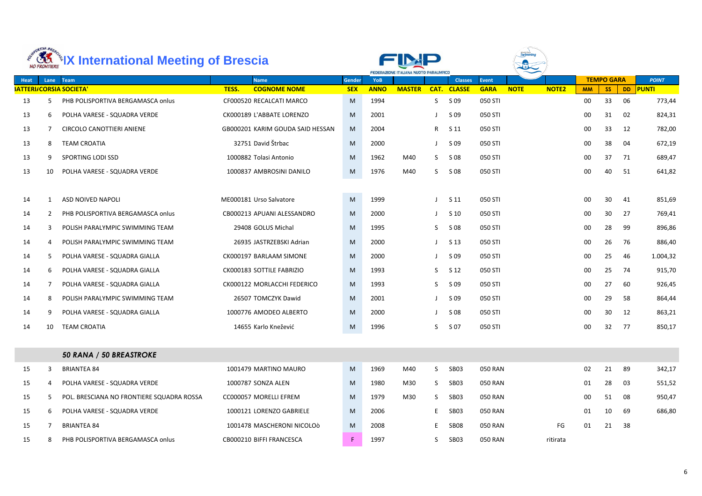|      | ORTIVA BRES | <b>KER EXEMPTERE IX International Meeting of Brescia</b> |                                  |               |             | FEDERAZIONE ITALIANA NUOTO PARALIMPICO |              |                 |                |             |              |           |                   |           |              |
|------|-------------|----------------------------------------------------------|----------------------------------|---------------|-------------|----------------------------------------|--------------|-----------------|----------------|-------------|--------------|-----------|-------------------|-----------|--------------|
| Heat | Lane        | Team                                                     | <b>Name</b>                      | <b>Gender</b> | <b>YoB</b>  |                                        |              | <b>Classes</b>  | Event          |             |              |           | <b>TEMPO GARA</b> |           | <b>POINT</b> |
|      |             | <b>SATTERI/CORSIA SOCIETA'</b>                           | <b>COGNOME NOME</b><br>TESS.     | <b>SEX</b>    | <b>ANNO</b> | <b>MASTER</b>                          |              | CAT. CLASSE     | <b>GARA</b>    | <b>NOTE</b> | <b>NOTE2</b> | <b>MM</b> | <b>SS</b>         | <b>DD</b> | <b>PUNTI</b> |
| 13   | 5.          | PHB POLISPORTIVA BERGAMASCA onlus                        | CF000520 RECALCATI MARCO         | M             | 1994        |                                        | S.           | S 09            | 050 STI        |             |              | 00        | 33                | 06        | 773,44       |
| 13   | 6           | POLHA VARESE - SQUADRA VERDE                             | CK000189 L'ABBATE LORENZO        | M             | 2001        |                                        |              | S 09            | 050 STI        |             |              | 00        | 31                | 02        | 824,31       |
| 13   |             | <b>CIRCOLO CANOTTIERI ANIENE</b>                         | GB000201 KARIM GOUDA SAID HESSAN | M             | 2004        |                                        | $\mathsf{R}$ | S 11            | 050 STI        |             |              | 00        | 33                | 12        | 782,00       |
| 13   | 8           | <b>TEAM CROATIA</b>                                      | 32751 David Štrbac               | M             | 2000        |                                        |              | S 09            | 050 STI        |             |              | 00        | 38                | 04        | 672,19       |
| 13   | 9           | SPORTING LODI SSD                                        | 1000882 Tolasi Antonio           | M             | 1962        | M40                                    | S.           | S 08            | 050 STI        |             |              | 00        | 37                | 71        | 689,47       |
| 13   | 10          | POLHA VARESE - SQUADRA VERDE                             | 1000837 AMBROSINI DANILO         | M             | 1976        | M40                                    | S.           | S 08            | 050 STI        |             |              | 00        | 40                | 51        | 641,82       |
|      |             |                                                          |                                  |               |             |                                        |              |                 |                |             |              |           |                   |           |              |
| 14   | -1          | ASD NOIVED NAPOLI                                        | ME000181 Urso Salvatore          | M             | 1999        |                                        |              | S <sub>11</sub> | 050 STI        |             |              | 00        | 30                | 41        | 851,69       |
| 14   | 2           | PHB POLISPORTIVA BERGAMASCA onlus                        | CB000213 APUANI ALESSANDRO       | M             | 2000        |                                        |              | S 10            | 050 STI        |             |              | 00        | 30                | 27        | 769,41       |
| 14   | 3           | POLISH PARALYMPIC SWIMMING TEAM                          | 29408 GOLUS Michal               | M             | 1995        |                                        | S.           | S 08            | 050 STI        |             |              | 00        | 28                | 99        | 896,86       |
| 14   | 4           | POLISH PARALYMPIC SWIMMING TEAM                          | 26935 JASTRZEBSKI Adrian         | M             | 2000        |                                        |              | S 13            | 050 STI        |             |              | 00        | 26                | 76        | 886,40       |
| 14   | 5           | POLHA VARESE - SQUADRA GIALLA                            | CK000197 BARLAAM SIMONE          | M             | 2000        |                                        |              | S 09            | 050 STI        |             |              | 00        | 25                | 46        | 1.004,32     |
| 14   | 6           | POLHA VARESE - SQUADRA GIALLA                            | CK000183 SOTTILE FABRIZIO        | M             | 1993        |                                        | S.           | S <sub>12</sub> | 050 STI        |             |              | 00        | 25                | 74        | 915,70       |
| 14   | 7           | POLHA VARESE - SQUADRA GIALLA                            | CK000122 MORLACCHI FEDERICO      | M             | 1993        |                                        | S.           | S 09            | 050 STI        |             |              | 00        | 27                | 60        | 926,45       |
| 14   | 8           | POLISH PARALYMPIC SWIMMING TEAM                          | 26507 TOMCZYK Dawid              | M             | 2001        |                                        |              | S 09            | 050 STI        |             |              | 00        | 29                | 58        | 864,44       |
| 14   | q           | POLHA VARESE - SQUADRA GIALLA                            | 1000776 AMODEO ALBERTO           | M             | 2000        |                                        |              | S 08            | 050 STI        |             |              | 00        | 30                | 12        | 863,21       |
| 14   | 10          | <b>TEAM CROATIA</b>                                      | 14655 Karlo Knežević             | M             | 1996        |                                        | S            | S 07            | 050 STI        |             |              | 00        | 32                | 77        | 850,17       |
|      |             |                                                          |                                  |               |             |                                        |              |                 |                |             |              |           |                   |           |              |
|      |             | 50 RANA / 50 BREASTROKE                                  |                                  |               |             |                                        |              |                 |                |             |              |           |                   |           |              |
| 15   | 3           | <b>BRIANTEA 84</b>                                       | 1001479 MARTINO MAURO            | M             | 1969        | M40                                    | S.           | SB03            | <b>050 RAN</b> |             |              | 02        | 21                | 89        | 342,17       |
| 15   | 4           | POLHA VARESE - SQUADRA VERDE                             | 1000787 SONZA ALEN               | M             | 1980        | M30                                    | S.           | SB03            | <b>050 RAN</b> |             |              | 01        | 28                | 03        | 551,52       |
| 15   | 5.          | POL. BRESCIANA NO FRONTIERE SQUADRA ROSSA                | CC000057 MORELLI EFREM           | M             | 1979        | M30                                    | S.           | SB03            | <b>050 RAN</b> |             |              | 00        | 51                | 08        | 950,47       |
| 15   | 6           | POLHA VARESE - SQUADRA VERDE                             | 1000121 LORENZO GABRIELE         | M             | 2006        |                                        | E.           | SB03            | 050 RAN        |             |              | 01        | 10                | 69        | 686,80       |
| 15   |             | <b>BRIANTEA 84</b>                                       | 1001478 MASCHERONI NICOLOÒ       | M             | 2008        |                                        | E            | <b>SB08</b>     | <b>050 RAN</b> |             | FG           | 01        | 21                | 38        |              |
| 15   | 8           | PHB POLISPORTIVA BERGAMASCA onlus                        | CB000210 BIFFI FRANCESCA         | F.            | 1997        |                                        | S.           | SB03            | <b>050 RAN</b> |             | ritirata     |           |                   |           |              |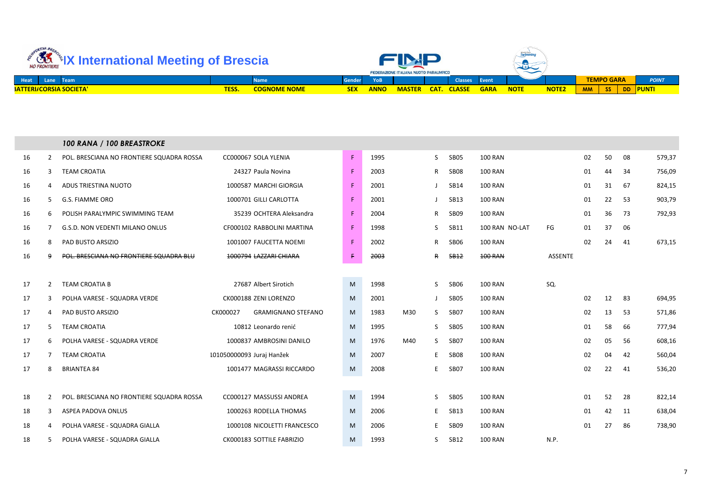| ellVA BRA<br>NO FRONTIERE                                      | <b>International Meeting of Brescia</b><br><b>Gender</b> |  |            |             |               | <b>FEDERAZIONE ITALIANA NUOTO PARALIMPICO</b> |                    |               | World Para<br><b>Swimmi</b> r<br><u>and a series of the series of the series of the series of the series of the series of the series of the series of the series of the series of the series of the series of the series of the series of the series of the serie</u><br>$\widetilde{\phantom{m}}$ |              |           |                   |     |               |
|----------------------------------------------------------------|----------------------------------------------------------|--|------------|-------------|---------------|-----------------------------------------------|--------------------|---------------|----------------------------------------------------------------------------------------------------------------------------------------------------------------------------------------------------------------------------------------------------------------------------------------------------|--------------|-----------|-------------------|-----|---------------|
| Heat<br>VTeam<br>Lane                                          | <b>Name</b>                                              |  |            |             |               |                                               | <b>Classes</b>     | <b>NEvent</b> |                                                                                                                                                                                                                                                                                                    |              |           | <b>TEMPO GARA</b> |     | <b>POINT</b>  |
| <b>BATTERI/CORSIA SOCIETA'</b><br><b>COGNOME NOME</b><br>TESS. |                                                          |  | <b>SEX</b> | <b>ANNO</b> | <b>MASTER</b> |                                               | <b>CAT. CLASSE</b> | <b>GARA</b>   | <b>NOTE</b>                                                                                                                                                                                                                                                                                        | <b>NOTE2</b> | <b>MM</b> | SS                | DD. | <b>NPUNTI</b> |

|    |                | 100 RANA / 100 BREASTROKE                 |                           |                             |    |      |     |              |             |                |                |    |    |    |        |
|----|----------------|-------------------------------------------|---------------------------|-----------------------------|----|------|-----|--------------|-------------|----------------|----------------|----|----|----|--------|
| 16 | $\overline{2}$ | POL. BRESCIANA NO FRONTIERE SQUADRA ROSSA |                           | CC000067 SOLA YLENIA        | F. | 1995 |     | S            | SB05        | <b>100 RAN</b> |                | 02 | 50 | 08 | 579,37 |
| 16 | 3              | <b>TEAM CROATIA</b>                       |                           | 24327 Paula Novina          | F. | 2003 |     | $\mathsf{R}$ | SB08        | <b>100 RAN</b> |                | 01 | 44 | 34 | 756,09 |
| 16 | 4              | ADUS TRIESTINA NUOTO                      |                           | 1000587 MARCHI GIORGIA      | F  | 2001 |     | $\mathbf{J}$ | <b>SB14</b> | <b>100 RAN</b> |                | 01 | 31 | 67 | 824,15 |
| 16 | 5              | <b>G.S. FIAMME ORO</b>                    |                           | 1000701 GILLI CARLOTTA      | F  | 2001 |     | $\perp$      | <b>SB13</b> | <b>100 RAN</b> |                | 01 | 22 | 53 | 903,79 |
| 16 | 6              | POLISH PARALYMPIC SWIMMING TEAM           |                           | 35239 OCHTERA Aleksandra    | F  | 2004 |     | $\mathsf{R}$ | SB09        | <b>100 RAN</b> |                | 01 | 36 | 73 | 792,93 |
| 16 | 7              | <b>G.S.D. NON VEDENTI MILANO ONLUS</b>    |                           | CF000102 RABBOLINI MARTINA  | F  | 1998 |     | S.           | <b>SB11</b> | 100 RAN NO-LAT | FG             | 01 | 37 | 06 |        |
| 16 | 8              | PAD BUSTO ARSIZIO                         |                           | 1001007 FAUCETTA NOEMI      | F  | 2002 |     | R            | <b>SB06</b> | <b>100 RAN</b> |                | 02 | 24 | 41 | 673,15 |
| 16 | 9              | POL. BRESCIANA NO FRONTIERE SQUADRA BLU   |                           | 1000794 LAZZARI CHIARA      | £. | 2003 |     | <del>R</del> | <b>SB12</b> | <b>100 RAN</b> | <b>ASSENTE</b> |    |    |    |        |
|    |                |                                           |                           |                             |    |      |     |              |             |                |                |    |    |    |        |
| 17 | $\overline{2}$ | TEAM CROATIA B                            |                           | 27687 Albert Sirotich       | M  | 1998 |     | <sub>S</sub> | <b>SB06</b> | <b>100 RAN</b> | SQ.            |    |    |    |        |
| 17 | 3              | POLHA VARESE - SQUADRA VERDE              |                           | CK000188 ZENI LORENZO       | M  | 2001 |     | $\perp$      | <b>SB05</b> | <b>100 RAN</b> |                | 02 | 12 | 83 | 694,95 |
| 17 | 4              | PAD BUSTO ARSIZIO                         | CK000027                  | <b>GRAMIGNANO STEFANO</b>   | M  | 1983 | M30 | S.           | SB07        | <b>100 RAN</b> |                | 02 | 13 | 53 | 571,86 |
| 17 | 5              | <b>TEAM CROATIA</b>                       |                           | 10812 Leonardo renić        | M  | 1995 |     | S.           | SB05        | <b>100 RAN</b> |                | 01 | 58 | 66 | 777,94 |
| 17 | 6              | POLHA VARESE - SQUADRA VERDE              |                           | 1000837 AMBROSINI DANILO    | M  | 1976 | M40 | S            | <b>SB07</b> | <b>100 RAN</b> |                | 02 | 05 | 56 | 608,16 |
| 17 | 7              | <b>TEAM CROATIA</b>                       | 101050000093 Juraj Hanžek |                             | M  | 2007 |     | E            | SB08        | <b>100 RAN</b> |                | 02 | 04 | 42 | 560,04 |
| 17 | 8              | <b>BRIANTEA 84</b>                        |                           | 1001477 MAGRASSI RICCARDO   | M  | 2008 |     | E            | <b>SB07</b> | <b>100 RAN</b> |                | 02 | 22 | 41 | 536,20 |
|    |                |                                           |                           |                             |    |      |     |              |             |                |                |    |    |    |        |
| 18 | $\overline{2}$ | POL. BRESCIANA NO FRONTIERE SQUADRA ROSSA |                           | CC000127 MASSUSSI ANDREA    | M  | 1994 |     | S.           | SB05        | <b>100 RAN</b> |                | 01 | 52 | 28 | 822,14 |
| 18 | 3              | ASPEA PADOVA ONLUS                        |                           | 1000263 RODELLA THOMAS      | M  | 2006 |     | E.           | <b>SB13</b> | <b>100 RAN</b> |                | 01 | 42 | 11 | 638,04 |
| 18 | 4              | POLHA VARESE - SQUADRA GIALLA             |                           | 1000108 NICOLETTI FRANCESCO | M  | 2006 |     | E            | SB09        | <b>100 RAN</b> |                | 01 | 27 | 86 | 738,90 |
| 18 | 5              | POLHA VARESE - SQUADRA GIALLA             |                           | CK000183 SOTTILE FABRIZIO   | M  | 1993 |     | S            | <b>SB12</b> | <b>100 RAN</b> | N.P.           |    |    |    |        |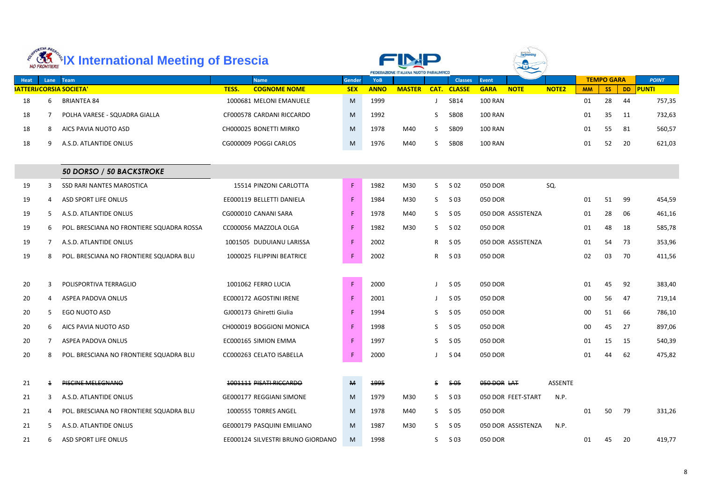|             | ORTIVA BRE     | <b>ARELY International Meeting of Brescia</b> |                                   |               |             | FEDERAZIONE ITALIANA NUOTO PARALIMPICO |      |                  |                |                    |              |           |                   |           |              |
|-------------|----------------|-----------------------------------------------|-----------------------------------|---------------|-------------|----------------------------------------|------|------------------|----------------|--------------------|--------------|-----------|-------------------|-----------|--------------|
| <b>Heat</b> | Lane           | Team                                          | <b>Name</b>                       | <b>Gender</b> | <b>YoB</b>  |                                        |      | <b>Classes</b>   | <b>Event</b>   |                    |              |           | <b>TEMPO GARA</b> |           | <b>POINT</b> |
|             |                | <b>SATTERI/CORSIA SOCIETA'</b>                | TESS.<br><b>COGNOME NOME</b>      | <b>SEX</b>    | <b>ANNO</b> | <b>MASTER</b>                          | CAT. | <b>CLASSE</b>    | <b>GARA</b>    | <b>NOTE</b>        | <b>NOTE2</b> | <b>MM</b> | <b>SS</b>         | <b>DD</b> | <b>PUNTI</b> |
| 18          | 6              | <b>BRIANTEA 84</b>                            | 1000681 MELONI EMANUELE           | M             | 1999        |                                        |      | <b>SB14</b>      | <b>100 RAN</b> |                    |              | 01        | 28                | 44        | 757,35       |
| 18          | 7              | POLHA VARESE - SQUADRA GIALLA                 | CF000578 CARDANI RICCARDO         | M             | 1992        |                                        | S    | SB <sub>08</sub> | <b>100 RAN</b> |                    |              | 01        | 35                | 11        | 732,63       |
| 18          | 8              | AICS PAVIA NUOTO ASD                          | CH000025 BONETTI MIRKO            | M             | 1978        | M40                                    | S    | SB <sub>09</sub> | <b>100 RAN</b> |                    |              | 01        | 55                | 81        | 560,57       |
| 18          | 9              | A.S.D. ATLANTIDE ONLUS                        | CG000009 POGGI CARLOS             | M             | 1976        | M40                                    | S    | SB <sub>08</sub> | <b>100 RAN</b> |                    |              | 01        | 52                | 20        | 621,03       |
|             |                |                                               |                                   |               |             |                                        |      |                  |                |                    |              |           |                   |           |              |
|             |                | 50 DORSO / 50 BACKSTROKE                      |                                   |               |             |                                        |      |                  |                |                    |              |           |                   |           |              |
| 19          | 3              | SSD RARI NANTES MAROSTICA                     | 15514 PINZONI CARLOTTA            | F             | 1982        | M30                                    | S.   | S 02             | 050 DOR        |                    | SQ.          |           |                   |           |              |
| 19          | 4              | <b>ASD SPORT LIFE ONLUS</b>                   | EE000119 BELLETTI DANIELA         | $\mathsf F$   | 1984        | M30                                    | S.   | S 03             | 050 DOR        |                    |              | 01        | 51                | 99        | 454,59       |
| 19          | 5.             | A.S.D. ATLANTIDE ONLUS                        | CG000010 CANANI SARA              | F             | 1978        | M40                                    | S.   | S 05             |                | 050 DOR ASSISTENZA |              | 01        | 28                | 06        | 461,16       |
| 19          | 6              | POL. BRESCIANA NO FRONTIERE SQUADRA ROSSA     | CC000056 MAZZOLA OLGA             | F             | 1982        | M30                                    | S.   | S 02             | 050 DOR        |                    |              | 01        | 48                | 18        | 585,78       |
| 19          | $\overline{7}$ | A.S.D. ATLANTIDE ONLUS                        | 1001505 DUDUIANU LARISSA          | $\mathsf F$   | 2002        |                                        | R    | S 05             |                | 050 DOR ASSISTENZA |              | 01        | 54                | 73        | 353,96       |
| 19          | 8              | POL. BRESCIANA NO FRONTIERE SQUADRA BLU       | 1000025 FILIPPINI BEATRICE        | F             | 2002        |                                        | R    | S 03             | 050 DOR        |                    |              | 02        | 03                | 70        | 411,56       |
|             |                |                                               |                                   |               |             |                                        |      |                  |                |                    |              |           |                   |           |              |
| 20          | 3              | POLISPORTIVA TERRAGLIO                        | 1001062 FERRO LUCIA               | $\mathsf F$   | 2000        |                                        |      | S 05             | 050 DOR        |                    |              | 01        | 45                | 92        | 383,40       |
| 20          | 4              | ASPEA PADOVA ONLUS                            | EC000172 AGOSTINI IRENE           | $\mathsf F$   | 2001        |                                        |      | S 05             | 050 DOR        |                    |              | 00        | 56                | 47        | 719,14       |
| 20          | 5.             | EGO NUOTO ASD                                 | GJ000173 Ghiretti Giulia          | F.            | 1994        |                                        | S    | S 05             | 050 DOR        |                    |              | 00        | 51                | 66        | 786,10       |
| 20          | 6              | AICS PAVIA NUOTO ASD                          | CH000019 BOGGIONI MONICA          | F             | 1998        |                                        | S.   | S 05             | <b>050 DOR</b> |                    |              | $00\,$    | 45                | 27        | 897,06       |
| 20          | $7^{\circ}$    | ASPEA PADOVA ONLUS                            | EC000165 SIMION EMMA              | F             | 1997        |                                        | S.   | S 05             | 050 DOR        |                    |              | 01        | 15                | 15        | 540,39       |
| 20          | 8              | POL. BRESCIANA NO FRONTIERE SQUADRA BLU       | CC000263 CELATO ISABELLA          | $\mathsf F$   | 2000        |                                        |      | S 04             | 050 DOR        |                    |              | 01        | 44                | 62        | 475,82       |
|             |                |                                               |                                   |               |             |                                        |      |                  |                |                    |              |           |                   |           |              |
| 21          | $\pm$          | <b>PISCINE MELEGNANO</b>                      | 1001111 PISATI RICCARDO           | М             | 1995        |                                        | S.   | <del>S 05</del>  | 050 DOR LAT    |                    | ASSENTE      |           |                   |           |              |
| 21          | 3              | A.S.D. ATLANTIDE ONLUS                        | GE000177 REGGIANI SIMONE          | M             | 1979        | M30                                    | S.   | S 03             |                | 050 DOR FEET-START | N.P.         |           |                   |           |              |
| 21          | 4              | POL. BRESCIANA NO FRONTIERE SQUADRA BLU       | 1000555 TORRES ANGEL              | M             | 1978        | M40                                    | S.   | S 05             | 050 DOR        |                    |              | 01        | 50                | 79        | 331,26       |
| 21          | 5              | A.S.D. ATLANTIDE ONLUS                        | GE000179 PASQUINI EMILIANO        | M             | 1987        | M30                                    | S.   | S 05             |                | 050 DOR ASSISTENZA | N.P.         |           |                   |           |              |
| 21          | 6              | ASD SPORT LIFE ONLUS                          | EE000124 SILVESTRI BRUNO GIORDANO | M             | 1998        |                                        | S.   | S 03             | 050 DOR        |                    |              | 01        | 45                | 20        | 419,77       |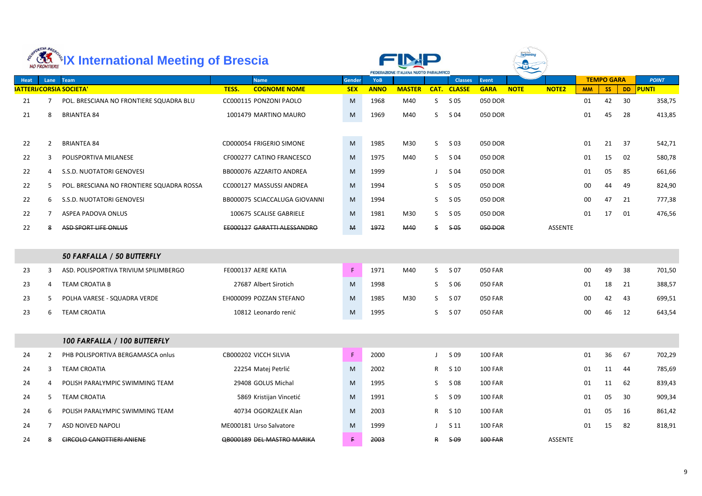|      | ORTIVA BRES    | <b>ARELY International Meeting of Brescia</b> |       |                               |               | <b>FEDERAZIONE ITALIANA NUOTO PARALIMPICO</b> |               |              |                  |                |             |                |           |                   |           |              |
|------|----------------|-----------------------------------------------|-------|-------------------------------|---------------|-----------------------------------------------|---------------|--------------|------------------|----------------|-------------|----------------|-----------|-------------------|-----------|--------------|
| Heat | Lane           | Team                                          |       | <b>Name</b>                   | Gender        | <b>YoB</b>                                    |               |              | <b>Classes</b>   | <b>Event</b>   |             |                |           | <b>TEMPO GARA</b> |           | <b>POINT</b> |
|      |                | <b>SATTERI/CORSIA SOCIETA'</b>                | TESS. | <b>COGNOME NOME</b>           | <b>SEX</b>    | <b>ANNO</b>                                   | <b>MASTER</b> | CAT.         | <b>CLASSE</b>    | <b>GARA</b>    | <b>NOTE</b> | <b>NOTE2</b>   | <b>MM</b> | <b>SS</b>         | <b>DD</b> | <b>PUNTI</b> |
| 21   |                | POL. BRESCIANA NO FRONTIERE SQUADRA BLU       |       | CC000115 PONZONI PAOLO        | M             | 1968                                          | M40           | S.           | S 05             | 050 DOR        |             |                | 01        | 42                | 30        | 358,75       |
| 21   | 8              | <b>BRIANTEA 84</b>                            |       | 1001479 MARTINO MAURO         | M             | 1969                                          | M40           | S.           | S 04             | 050 DOR        |             |                | 01        | 45                | 28        | 413,85       |
| 22   | $\mathbf{2}$   | <b>BRIANTEA 84</b>                            |       | CD000054 FRIGERIO SIMONE      | M             | 1985                                          | M30           | S.           | $S$ 03           | 050 DOR        |             |                | 01        | 21                | 37        | 542,71       |
| 22   | 3              | POLISPORTIVA MILANESE                         |       | CF000277 CATINO FRANCESCO     | M             | 1975                                          | M40           | S.           | S 04             | 050 DOR        |             |                | 01        | 15                | 02        | 580,78       |
| 22   | 4              | S.S.D. NUOTATORI GENOVESI                     |       | BB000076 AZZARITO ANDREA      | M             | 1999                                          |               |              | S 04             | 050 DOR        |             |                | 01        | 05                | 85        | 661,66       |
| 22   | 5.             | POL. BRESCIANA NO FRONTIERE SQUADRA ROSSA     |       | CC000127 MASSUSSI ANDREA      | M             | 1994                                          |               | S.           | S 05             | 050 DOR        |             |                | 00        | 44                | 49        | 824,90       |
| 22   | 6              | S.S.D. NUOTATORI GENOVESI                     |       | BB000075 SCIACCALUGA GIOVANNI | M             | 1994                                          |               | S.           | S 05             | 050 DOR        |             |                | 00        | 47                | 21        | 777,38       |
| 22   | $\overline{7}$ | ASPEA PADOVA ONLUS                            |       | 100675 SCALISE GABRIELE       | M             | 1981                                          | M30           | S.           | S 05             | 050 DOR        |             |                | 01        | 17                | 01        | 476,56       |
| 22   | 8              | ASD SPORT LIFE ONLUS                          |       | EE000127 GARATTI ALESSANDRO   | M             | 1972                                          | <b>M40</b>    | S            | <del>\$ 05</del> | 050 DOR        |             | <b>ASSENTE</b> |           |                   |           |              |
|      |                | 50 FARFALLA / 50 BUTTERFLY                    |       |                               |               |                                               |               |              |                  |                |             |                |           |                   |           |              |
| 23   | 3              | ASD. POLISPORTIVA TRIVIUM SPILIMBERGO         |       | FE000137 AERE KATIA           | $\mathsf F$   | 1971                                          | M40           | S.           | S 07             | <b>050 FAR</b> |             |                | 00        | 49                | 38        | 701,50       |
| 23   | 4              | <b>TEAM CROATIA B</b>                         |       | 27687 Albert Sirotich         | M             | 1998                                          |               | S.           | S 06             | <b>050 FAR</b> |             |                | 01        | 18                | 21        | 388,57       |
| 23   | 5.             | POLHA VARESE - SQUADRA VERDE                  |       | EH000099 POZZAN STEFANO       | M             | 1985                                          | M30           | S.           | S 07             | <b>050 FAR</b> |             |                | 00        | 42                | 43        | 699,51       |
| 23   | 6              | <b>TEAM CROATIA</b>                           |       | 10812 Leonardo renić          | M             | 1995                                          |               | S            | S 07             | 050 FAR        |             |                | 00        | 46                | 12        | 643,54       |
|      |                | 100 FARFALLA / 100 BUTTERFLY                  |       |                               |               |                                               |               |              |                  |                |             |                |           |                   |           |              |
|      |                |                                               |       |                               | $\mathsf F$ . |                                               |               |              |                  | <b>100 FAR</b> |             |                | 01        | 36                |           |              |
| 24   | 2              | PHB POLISPORTIVA BERGAMASCA onlus             |       | CB000202 VICCH SILVIA         |               | 2000                                          |               | $\mathsf{J}$ | S 09             |                |             |                |           |                   | 67        | 702,29       |
| 24   | 3              | <b>TEAM CROATIA</b>                           |       | 22254 Matej Petrlić           | M             | 2002                                          |               | R            | $S$ 10           | <b>100 FAR</b> |             |                | 01        | 11                | -44       | 785,69       |
| 24   | 4              | POLISH PARALYMPIC SWIMMING TEAM               |       | 29408 GOLUS Michal            | M             | 1995                                          |               | S.           | S 08             | <b>100 FAR</b> |             |                | 01        | 11                | 62        | 839,43       |
| 24   | 5              | <b>TEAM CROATIA</b>                           |       | 5869 Kristijan Vincetić       | M             | 1991                                          |               | S.           | S 09             | <b>100 FAR</b> |             |                | 01        | 05                | 30        | 909,34       |
| 24   | 6              | POLISH PARALYMPIC SWIMMING TEAM               |       | 40734 OGORZALEK Alan          | M             | 2003                                          |               | R.           | S 10             | <b>100 FAR</b> |             |                | 01        | 05                | 16        | 861,42       |
| 24   | 7              | ASD NOIVED NAPOLI                             |       | ME000181 Urso Salvatore       | M             | 1999                                          |               |              | S <sub>11</sub>  | <b>100 FAR</b> |             |                | 01        | 15                | 82        | 818,91       |
| 24   | 8              | <b>CIRCOLO CANOTTIERI ANIENE</b>              |       | QB000189 DEL MASTRO MARIKA    | F.            | 2003                                          |               | R            | 5-09             | <b>100 FAR</b> |             | ASSENTE        |           |                   |           |              |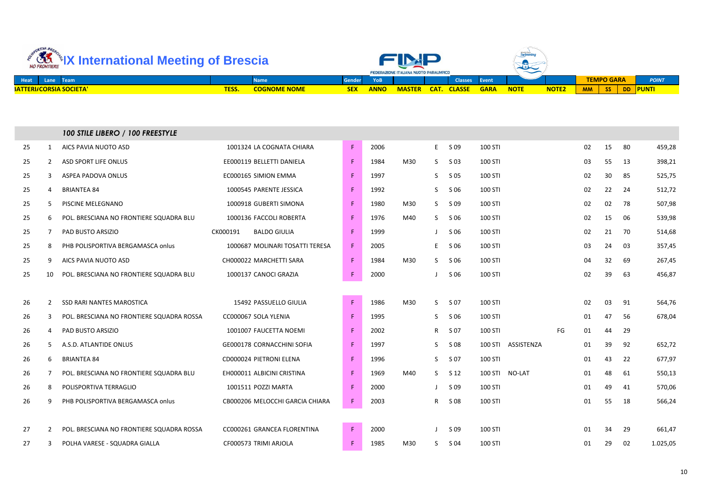| ellVA BRA<br><b>International Meeting of Brescia</b><br>NO FRONTIERE |             |                     | <b>FEDERAZIONE ITALIANA NUOTO PARALIMPICO</b> |             |               |             | World Para<br>$\widetilde{\phantom{m}}$ |             |             |              |                                     |              |
|----------------------------------------------------------------------|-------------|---------------------|-----------------------------------------------|-------------|---------------|-------------|-----------------------------------------|-------------|-------------|--------------|-------------------------------------|--------------|
| Heat<br>Team<br>Lane                                                 | <b>Name</b> |                     |                                               |             |               |             | <b>Classes</b>                          | Event       |             |              | <b>TEMPO GARA</b>                   | <b>POINT</b> |
| <b>BATTERI/CORSIA SOCIETA'</b>                                       | <b>TESS</b> | <b>COGNOME NOME</b> | <b>SEX</b>                                    | <b>ANNO</b> | <b>MASTER</b> | <b>CAT.</b> | <b>CLASSE</b>                           | <b>GARA</b> | <b>NOTE</b> | <b>NOTE2</b> | <b>MM</b><br><b>SS</b><br><b>DD</b> | <b>PUNTI</b> |

|    |                | 100 STILE LIBERO / 100 FREESTYLE          |                                 |             |      |     |              |      |                |                |    |    |    |    |          |
|----|----------------|-------------------------------------------|---------------------------------|-------------|------|-----|--------------|------|----------------|----------------|----|----|----|----|----------|
| 25 | 1              | AICS PAVIA NUOTO ASD                      | 1001324 LA COGNATA CHIARA       | $\mathsf F$ | 2006 |     | E            | S 09 | 100 STI        |                |    | 02 | 15 | 80 | 459,28   |
| 25 | $\mathbf{2}$   | <b>ASD SPORT LIFE ONLUS</b>               | EE000119 BELLETTI DANIELA       | F.          | 1984 | M30 | S            | S 03 | 100 STI        |                |    | 03 | 55 | 13 | 398,21   |
| 25 | 3              | ASPEA PADOVA ONLUS                        | EC000165 SIMION EMMA            | F.          | 1997 |     | $\mathsf{S}$ | S 05 | 100 STI        |                |    | 02 | 30 | 85 | 525,75   |
| 25 | 4              | <b>BRIANTEA 84</b>                        | 1000545 PARENTE JESSICA         | F.          | 1992 |     | S            | S 06 | 100 STI        |                |    | 02 | 22 | 24 | 512,72   |
| 25 | 5              | PISCINE MELEGNANO                         | 1000918 GUBERTI SIMONA          | F.          | 1980 | M30 | S.           | S 09 | 100 STI        |                |    | 02 | 02 | 78 | 507,98   |
| 25 | 6              | POL. BRESCIANA NO FRONTIERE SQUADRA BLU   | 1000136 FACCOLI ROBERTA         | F.          | 1976 | M40 | S.           | S 06 | 100 STI        |                |    | 02 | 15 | 06 | 539,98   |
| 25 | 7              | PAD BUSTO ARSIZIO                         | CK000191<br><b>BALDO GIULIA</b> | F.          | 1999 |     | $\mathbf{J}$ | S 06 | 100 STI        |                |    | 02 | 21 | 70 | 514,68   |
| 25 | 8              | PHB POLISPORTIVA BERGAMASCA onlus         | 1000687 MOLINARI TOSATTI TERESA | F.          | 2005 |     | E            | S 06 | 100 STI        |                |    | 03 | 24 | 03 | 357,45   |
| 25 | 9              | AICS PAVIA NUOTO ASD                      | CH000022 MARCHETTI SARA         | F.          | 1984 | M30 | S.           | S 06 | 100 STI        |                |    | 04 | 32 | 69 | 267,45   |
| 25 | 10             | POL. BRESCIANA NO FRONTIERE SQUADRA BLU   | 1000137 CANOCI GRAZIA           | F           | 2000 |     |              | S 06 | 100 STI        |                |    | 02 | 39 | 63 | 456,87   |
|    |                |                                           |                                 |             |      |     |              |      |                |                |    |    |    |    |          |
| 26 | $\overline{2}$ | SSD RARI NANTES MAROSTICA                 | 15492 PASSUELLO GIULIA          | F           | 1986 | M30 | S            | S 07 | 100 STI        |                |    | 02 | 03 | 91 | 564,76   |
| 26 | 3              | POL. BRESCIANA NO FRONTIERE SQUADRA ROSSA | CC000067 SOLA YLENIA            | F.          | 1995 |     | S            | S 06 | 100 STI        |                |    | 01 | 47 | 56 | 678,04   |
| 26 | 4              | PAD BUSTO ARSIZIO                         | 1001007 FAUCETTA NOEMI          | F           | 2002 |     | $\mathsf{R}$ | S 07 | 100 STI        |                | FG | 01 | 44 | 29 |          |
| 26 | 5              | A.S.D. ATLANTIDE ONLUS                    | GE000178 CORNACCHINI SOFIA      | F           | 1997 |     | S.           | S 08 | <b>100 STI</b> | ASSISTENZA     |    | 01 | 39 | 92 | 652,72   |
| 26 | 6              | <b>BRIANTEA 84</b>                        | CD000024 PIETRONI ELENA         | F.          | 1996 |     | S.           | S 07 | 100 STI        |                |    | 01 | 43 | 22 | 677,97   |
| 26 | 7              | POL. BRESCIANA NO FRONTIERE SQUADRA BLU   | EH000011 ALBICINI CRISTINA      | F.          | 1969 | M40 | S.           | S 12 |                | 100 STI NO-LAT |    | 01 | 48 | 61 | 550,13   |
| 26 | 8              | POLISPORTIVA TERRAGLIO                    | 1001511 POZZI MARTA             | F           | 2000 |     | J            | S 09 | 100 STI        |                |    | 01 | 49 | 41 | 570,06   |
| 26 | 9              | PHB POLISPORTIVA BERGAMASCA onlus         | CB000206 MELOCCHI GARCIA CHIARA | F.          | 2003 |     | $\mathsf{R}$ | S 08 | 100 STI        |                |    | 01 | 55 | 18 | 566,24   |
|    |                |                                           |                                 |             |      |     |              |      |                |                |    |    |    |    |          |
| 27 | $\overline{2}$ | POL. BRESCIANA NO FRONTIERE SQUADRA ROSSA | CC000261 GRANCEA FLORENTINA     | F           | 2000 |     | $\mathbf{J}$ | S 09 | 100 STI        |                |    | 01 | 34 | 29 | 661,47   |
| 27 | 3              | POLHA VARESE - SQUADRA GIALLA             | CF000573 TRIMI ARJOLA           | F.          | 1985 | M30 | S.           | S 04 | 100 STI        |                |    | 01 | 29 | 02 | 1.025,05 |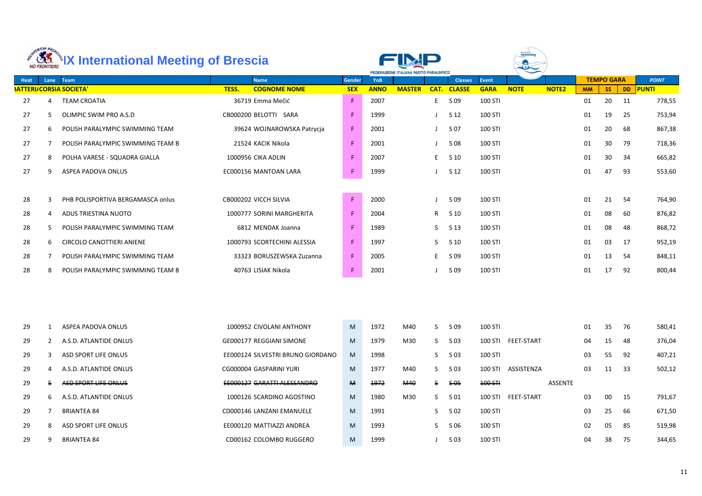| ORTIVA BRE<br><b>AR *IX International Meeting of Brescia</b> |              |                                   |                                   |               |             | <b>FEDERAZIONE ITALIANA NUOTO PARALIMPICO</b> |              |                    |              |                    |              |           |                   |           |              |
|--------------------------------------------------------------|--------------|-----------------------------------|-----------------------------------|---------------|-------------|-----------------------------------------------|--------------|--------------------|--------------|--------------------|--------------|-----------|-------------------|-----------|--------------|
| <b>Heat</b>                                                  |              | Lane Team                         | <b>Name</b>                       | <b>Gender</b> | YoB         |                                               |              | <b>Classes</b>     | <b>Event</b> |                    |              |           | <b>TEMPO GARA</b> |           | <b>POINT</b> |
|                                                              |              | <b>SATTERI/CORSIA SOCIETA'</b>    | TESS.<br><b>COGNOME NOME</b>      | <b>SEX</b>    | <b>ANNO</b> | <b>MASTER</b>                                 |              | <b>CAT. CLASSE</b> | <b>GARA</b>  | <b>NOTE</b>        | <b>NOTE2</b> | <b>MM</b> | <b>SS</b>         | <b>DD</b> | <b>PUNTI</b> |
| 27                                                           | 4            | <b>TEAM CROATIA</b>               | 36719 Emma Mečić                  | $\mathsf F$   | 2007        |                                               | E.           | S 09               | 100 STI      |                    |              | 01        | 20                | 11        | 778,55       |
| 27                                                           | 5.           | OLIMPIC SWIM PRO A.S.D            | CB000200 BELOTTI SARA             | $\mathsf F$   | 1999        |                                               |              | S 12               | 100 STI      |                    |              | 01        | 19                | 25        | 753,94       |
| 27                                                           | 6            | POLISH PARALYMPIC SWIMMING TEAM   | 39624 WOJNAROWSKA Patrycja        | $\mathsf F$   | 2001        |                                               |              | S 07               | 100 STI      |                    |              | 01        | 20                | 68        | 867,38       |
| 27                                                           | $7^{\circ}$  | POLISH PARALYMPIC SWIMMING TEAM B | 21524 KACIK Nikola                | $\mathsf F$   | 2001        |                                               |              | S 08               | 100 STI      |                    |              | 01        | 30                | 79        | 718,36       |
| 27                                                           | 8            | POLHA VARESE - SQUADRA GIALLA     | 1000956 CIKA ADLIN                | $\mathsf F$   | 2007        |                                               | E.           | S 10               | 100 STI      |                    |              | 01        | 30                | 34        | 665,82       |
| 27                                                           | 9            | ASPEA PADOVA ONLUS                | EC000156 MANTOAN LARA             | $\mathsf F$   | 1999        |                                               |              | S 12               | 100 STI      |                    |              | 01        | 47                | 93        | 553,60       |
|                                                              |              |                                   |                                   |               |             |                                               |              |                    |              |                    |              |           |                   |           |              |
| 28                                                           | 3            | PHB POLISPORTIVA BERGAMASCA onlus | CB000202 VICCH SILVIA             | $\mathsf F$   | 2000        |                                               |              | S 09               | 100 STI      |                    |              | 01        | 21                | -54       | 764,90       |
| 28                                                           | 4            | ADUS TRIESTINA NUOTO              | 1000777 SORINI MARGHERITA         | $\mathsf F$   | 2004        |                                               | R            | S 10               | 100 STI      |                    |              | 01        | 08                | 60        | 876,82       |
| 28                                                           | 5.           | POLISH PARALYMPIC SWIMMING TEAM   | 6812 MENDAK Joanna                | $\mathsf F$   | 1989        |                                               | S.           | S <sub>13</sub>    | 100 STI      |                    |              | 01        | 08                | 48        | 868,72       |
| 28                                                           | 6            | <b>CIRCOLO CANOTTIERI ANIENE</b>  | 1000793 SCORTECHINI ALESSIA       | F             | 1997        |                                               | S.           | S 10               | 100 STI      |                    |              | 01        | 03                | 17        | 952,19       |
| 28                                                           | $7^{\circ}$  | POLISH PARALYMPIC SWIMMING TEAM   | 33323 BORUSZEWSKA Zuzanna         | $\mathsf F$   | 2005        |                                               | E.           | S 09               | 100 STI      |                    |              | 01        | 13                | -54       | 848,11       |
| 28                                                           | 8            | POLISH PARALYMPIC SWIMMING TEAM B | 40763 LISIAK Nikola               | $\mathsf F$   | 2001        |                                               |              | S 09               | 100 STI      |                    |              | 01        | 17                | 92        | 800,44       |
|                                                              |              |                                   |                                   |               |             |                                               |              |                    |              |                    |              |           |                   |           |              |
| 29                                                           |              | 1 ASPEA PADOVA ONLUS              | 1000952 CIVOLANI ANTHONY          |               |             | M 1972 M40 S S 09 100 STI                     |              |                    |              |                    |              |           | 01 35 76          |           | 580,41       |
| 29                                                           | $\mathbf{2}$ | A.S.D. ATLANTIDE ONLUS            | GE000177 REGGIANI SIMONE          | M             | 1979        | M30                                           | S.           | S 03               |              | 100 STI FEET-START |              | 04        | 15                | 48        | 376,04       |
| 29                                                           | 3            | <b>ASD SPORT LIFE ONLUS</b>       | EE000124 SILVESTRI BRUNO GIORDANO | M             | 1998        |                                               | S.           | S 03               | 100 STI      |                    |              | 03        | 55                | 92        | 407,21       |
| 29                                                           | 4            | A.S.D. ATLANTIDE ONLUS            | CG000004 GASPARINI YURI           | M             | 1977        | M40                                           | S.           | S 03               |              | 100 STI ASSISTENZA |              | 03        | 11                | -33       | 502,12       |
| 29                                                           | 5.           | ASD SPORT LIFE ONLUS              | EE000127 GARATTI ALESSANDRO       | M             | 1972        | <b>M40</b>                                    | $\mathsf{s}$ | <del>S 05</del>    | 100 STH      |                    | ASSENTE      |           |                   |           |              |
| 29                                                           | 6            | A.S.D. ATLANTIDE ONLUS            | 1000126 SCARDINO AGOSTINO         | M             | 1980        | M30                                           | S.           | S 01               |              | 100 STI FEET-START |              | 03        | 00                | 15        | 791,67       |
| 29                                                           | 7            | <b>BRIANTEA 84</b>                | CD000146 LANZANI EMANUELE         | M             | 1991        |                                               | S.           | S 02               | 100 STI      |                    |              | 03        | 25                | 66        | 671,50       |
| 29                                                           | 8            | ASD SPORT LIFE ONLUS              | EE000120 MATTIAZZI ANDREA         | M             | 1993        |                                               | S.           | S 06               | 100 STI      |                    |              | 02        | 05                | 85        | 519,98       |
| 29                                                           | 9            | <b>BRIANTEA 84</b>                | CD00162 COLOMBO RUGGERO           | M             | 1999        |                                               |              | S 03               | 100 STI      |                    |              | 04        | 38                | 75        | 344,65       |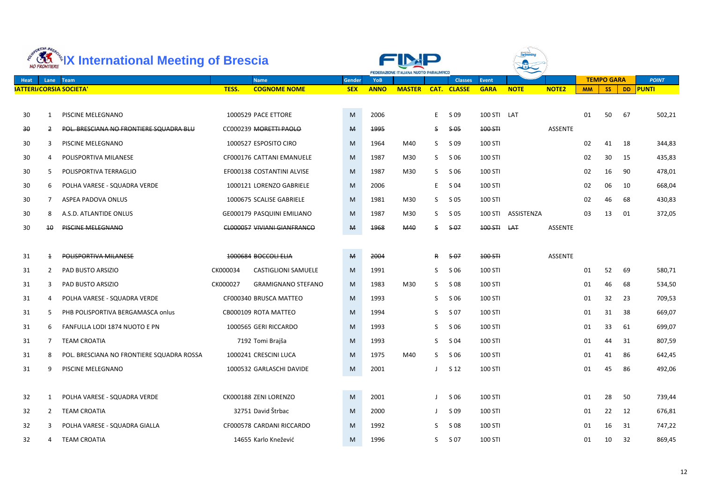|                 | ORTIVA BRES<br><b>NO FRONTIERE</b> | Letting of Brescia                        |          |                                    |              |             | FEDERAZIONE ITALIANA NUOTO PARALIMPICO |    |                    |                |             |                |           |                   |    |              |
|-----------------|------------------------------------|-------------------------------------------|----------|------------------------------------|--------------|-------------|----------------------------------------|----|--------------------|----------------|-------------|----------------|-----------|-------------------|----|--------------|
| <b>Heat</b>     |                                    | Lane Team                                 |          | <b>Name</b>                        | Gender       | <b>YoB</b>  |                                        |    | <b>Classes</b>     | <b>Event</b>   |             |                |           | <b>TEMPO GARA</b> |    | <b>POINT</b> |
|                 |                                    | <b>SATTERI/CORSIA SOCIETA'</b>            | TESS.    | <b>COGNOME NOME</b>                | <b>SEX</b>   | <b>ANNO</b> | <b>MASTER</b>                          |    | <b>CAT. CLASSE</b> | <b>GARA</b>    | <b>NOTE</b> | <b>NOTE2</b>   | <b>MM</b> | <b>SS</b>         |    | DD PUNTI     |
| 30              | 1                                  | PISCINE MELEGNANO                         |          | 1000529 PACE ETTORE                | M            | 2006        |                                        | E  | S 09               | 100 STI LAT    |             |                | 01        | 50                | 67 | 502,21       |
| $\overline{30}$ | 2                                  | POL. BRESCIANA NO FRONTIERE SQUADRA BLU   |          | CC000239 MORETTI PAOLO             | $\mathsf{M}$ | 1995        |                                        | S  | $5-0.5$            | 100 STH        |             | <b>ASSENTE</b> |           |                   |    |              |
| 30              | 3                                  | PISCINE MELEGNANO                         |          | 1000527 ESPOSITO CIRO              | M            | 1964        | M40                                    | S. | S 09               | 100 STI        |             |                | 02        | 41                | 18 | 344,83       |
| 30              | 4                                  | POLISPORTIVA MILANESE                     |          | CF000176 CATTANI EMANUELE          | M            | 1987        | M30                                    | S. | S 06               | 100 STI        |             |                | 02        | 30                | 15 | 435,83       |
| 30              | 5.                                 | POLISPORTIVA TERRAGLIO                    |          | EF000138 COSTANTINI ALVISE         | M            | 1987        | M30                                    | S. | S 06               | 100 STI        |             |                | 02        | 16                | 90 | 478,01       |
| 30              | 6                                  | POLHA VARESE - SQUADRA VERDE              |          | 1000121 LORENZO GABRIELE           | M            | 2006        |                                        | E. | S 04               | <b>100 STI</b> |             |                | 02        | 06                | 10 | 668,04       |
| 30              | 7                                  | ASPEA PADOVA ONLUS                        |          | 1000675 SCALISE GABRIELE           | M            | 1981        | M30                                    | S. | S 05               | 100 STI        |             |                | 02        | 46                | 68 | 430,83       |
| 30              | 8                                  | A.S.D. ATLANTIDE ONLUS                    |          | GE000179 PASQUINI EMILIANO         | M            | 1987        | M30                                    | S  | S 05               | <b>100 STI</b> | ASSISTENZA  |                | 03        | 13                | 01 | 372,05       |
| 30              | 10 <sup>°</sup>                    | <b>PISCINE MELEGNANO</b>                  |          | <b>CL000057 VIVIANI GIANFRANCO</b> | M            | 1968        | M40                                    | S. | <del>\$ 07</del>   | 100 STH        | <b>LAT</b>  | <b>ASSENTE</b> |           |                   |    |              |
|                 |                                    |                                           |          |                                    |              |             |                                        |    |                    |                |             |                |           |                   |    |              |
| 31              | $\overline{+}$                     | POLISPORTIVA MILANESE                     |          | 1000684 BOCCOLI ELIA               | $\mathbf{M}$ | 2004        |                                        | R  | $5-07$             | 100 STH        |             | <b>ASSENTE</b> |           |                   |    |              |
| 31              | $\mathbf{2}$                       | PAD BUSTO ARSIZIO                         | CK000034 | <b>CASTIGLIONI SAMUELE</b>         | M            | 1991        |                                        | S  | S 06               | 100 STI        |             |                | 01        | 52                | 69 | 580,71       |
| 31              | 3                                  | PAD BUSTO ARSIZIO                         | CK000027 | <b>GRAMIGNANO STEFANO</b>          | M            | 1983        | M30                                    | S. | S 08               | 100 STI        |             |                | 01        | 46                | 68 | 534,50       |
| 31              | 4                                  | POLHA VARESE - SQUADRA VERDE              |          | CF000340 BRUSCA MATTEO             | M            | 1993        |                                        | S  | S 06               | 100 STI        |             |                | 01        | 32                | 23 | 709,53       |
| 31              |                                    | PHB POLISPORTIVA BERGAMASCA onlus         |          | CB000109 ROTA MATTEO               | M            | 1994        |                                        | S  | S 07               | 100 STI        |             |                | 01        | 31                | 38 | 669,07       |
| 31              | 6                                  | FANFULLA LODI 1874 NUOTO E PN             |          | 1000565 GERI RICCARDO              | M            | 1993        |                                        | S. | S 06               | 100 STI        |             |                | 01        | 33                | 61 | 699,07       |
| 31              | $7^{\circ}$                        | <b>TEAM CROATIA</b>                       |          | 7192 Tomi Brajša                   | M            | 1993        |                                        | S. | S 04               | 100 STI        |             |                | 01        | 44                | 31 | 807,59       |
| 31              | 8                                  | POL. BRESCIANA NO FRONTIERE SQUADRA ROSSA |          | 1000241 CRESCINI LUCA              | M            | 1975        | M40                                    |    | $S$ $S$ 06         | 100 STI        |             |                | 01        | 41                | 86 | 642,45       |
| 31              | 9                                  | PISCINE MELEGNANO                         |          | 1000532 GARLASCHI DAVIDE           | M            | 2001        |                                        |    | S 12               | 100 STI        |             |                | 01        | 45                | 86 | 492,06       |
|                 |                                    |                                           |          |                                    |              |             |                                        |    |                    |                |             |                |           |                   |    |              |
| 32              |                                    | POLHA VARESE - SQUADRA VERDE              |          | CK000188 ZENI LORENZO              | ${\sf M}$    | 2001        |                                        |    | S 06               | 100 STI        |             |                | 01        | 28                | 50 | 739,44       |
| 32              | $2^{\circ}$                        | <b>TEAM CROATIA</b>                       |          | 32751 David Štrbac                 | M            | 2000        |                                        |    | S 09               | 100 STI        |             |                | 01        | 22                | 12 | 676,81       |
| 32              | 3                                  | POLHA VARESE - SQUADRA GIALLA             |          | CF000578 CARDANI RICCARDO          | M            | 1992        |                                        | S  | S 08               | 100 STI        |             |                | 01        | 16                | 31 | 747,22       |
| 32              | 4                                  | <b>TEAM CROATIA</b>                       |          | 14655 Karlo Knežević               | M            | 1996        |                                        | S. | S 07               | 100 STI        |             |                | 01        | 10                | 32 | 869,45       |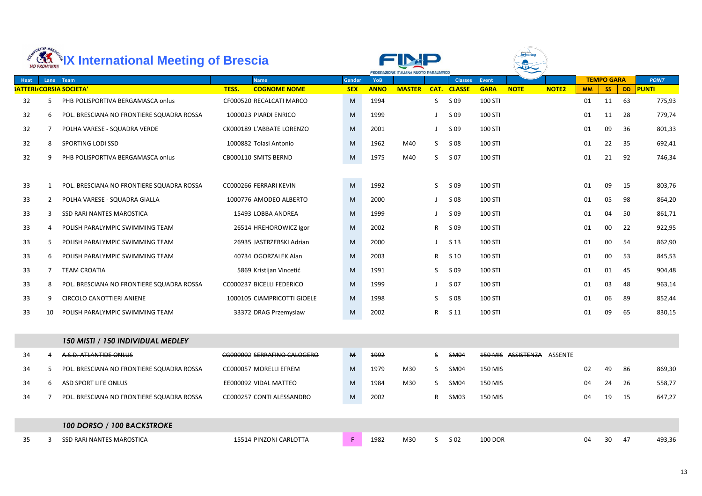| ORTIVA BRES<br><b>ARELY International Meeting of Brescia</b> |                |                                           |       |                             |               |             | FEDERAZIONE ITALIANA NUOTO PARALIMPICO |      |                 |                |                            |              |           |                   |           |              |  |
|--------------------------------------------------------------|----------------|-------------------------------------------|-------|-----------------------------|---------------|-------------|----------------------------------------|------|-----------------|----------------|----------------------------|--------------|-----------|-------------------|-----------|--------------|--|
| Heat                                                         | Lane           | Team                                      |       | <b>Name</b>                 | <b>Gender</b> | <b>YoB</b>  |                                        |      | <b>Classes</b>  | <b>Event</b>   |                            |              |           | <b>TEMPO GARA</b> |           | <b>POINT</b> |  |
|                                                              |                | <b>SATTERI/CORSIA SOCIETA'</b>            | TESS. | <b>COGNOME NOME</b>         | <b>SEX</b>    | <b>ANNO</b> | <b>MASTER</b>                          | CAT. | <b>CLASSE</b>   | <b>GARA</b>    | <b>NOTE</b>                | <b>NOTE2</b> | <b>MM</b> | <b>SS</b>         | <b>DD</b> | <b>PUNTI</b> |  |
| 32                                                           | 5.             | PHB POLISPORTIVA BERGAMASCA onlus         |       | CF000520 RECALCATI MARCO    | M             | 1994        |                                        | S.   | S 09            | 100 STI        |                            |              | 01        | 11                | 63        | 775,93       |  |
| 32                                                           | 6              | POL. BRESCIANA NO FRONTIERE SQUADRA ROSSA |       | 1000023 PIARDI ENRICO       | M             | 1999        |                                        |      | S 09            | 100 STI        |                            |              | 01        | 11                | 28        | 779,74       |  |
| 32                                                           | 7              | POLHA VARESE - SQUADRA VERDE              |       | CK000189 L'ABBATE LORENZO   | M             | 2001        |                                        |      | S 09            | 100 STI        |                            |              | 01        | 09                | 36        | 801,33       |  |
| 32                                                           | 8              | SPORTING LODI SSD                         |       | 1000882 Tolasi Antonio      | M             | 1962        | M40                                    | S.   | S 08            | 100 STI        |                            |              | 01        | 22                | 35        | 692,41       |  |
| 32                                                           | 9              | PHB POLISPORTIVA BERGAMASCA onlus         |       | CB000110 SMITS BERND        | M             | 1975        | M40                                    | S.   | S 07            | <b>100 STI</b> |                            |              | 01        | 21                | 92        | 746,34       |  |
|                                                              |                |                                           |       |                             |               |             |                                        |      |                 |                |                            |              |           |                   |           |              |  |
| 33                                                           | 1              | POL. BRESCIANA NO FRONTIERE SQUADRA ROSSA |       | CC000266 FERRARI KEVIN      | M             | 1992        |                                        | S.   | S 09            | 100 STI        |                            |              | 01        | 09                | 15        | 803,76       |  |
| 33                                                           | 2              | POLHA VARESE - SQUADRA GIALLA             |       | 1000776 AMODEO ALBERTO      | M             | 2000        |                                        |      | S 08            | <b>100 STI</b> |                            |              | 01        | 05                | 98        | 864,20       |  |
| 33                                                           | 3              | <b>SSD RARI NANTES MAROSTICA</b>          |       | 15493 LOBBA ANDREA          | M             | 1999        |                                        |      | S 09            | 100 STI        |                            |              | 01        | 04                | 50        | 861,71       |  |
| 33                                                           | 4              | POLISH PARALYMPIC SWIMMING TEAM           |       | 26514 HREHOROWICZ Igor      | M             | 2002        |                                        | R    | S 09            | <b>100 STI</b> |                            |              | 01        | 00                | 22        | 922,95       |  |
| 33                                                           | 5.             | POLISH PARALYMPIC SWIMMING TEAM           |       | 26935 JASTRZEBSKI Adrian    | M             | 2000        |                                        |      | S <sub>13</sub> | 100 STI        |                            |              | 01        | 00                | 54        | 862,90       |  |
| 33                                                           | 6              | POLISH PARALYMPIC SWIMMING TEAM           |       | 40734 OGORZALEK Alan        | M             | 2003        |                                        | R    | S 10            | <b>100 STI</b> |                            |              | 01        | 00                | 53        | 845,53       |  |
| 33                                                           | $\overline{7}$ | <b>TEAM CROATIA</b>                       |       | 5869 Kristijan Vincetić     | M             | 1991        |                                        | S    | S 09            | 100 STI        |                            |              | 01        | 01                | 45        | 904,48       |  |
| 33                                                           | 8              | POL. BRESCIANA NO FRONTIERE SQUADRA ROSSA |       | CC000237 BICELLI FEDERICO   | M             | 1999        |                                        |      | S 07            | 100 STI        |                            |              | 01        | 03                | 48        | 963,14       |  |
| 33                                                           | 9              | <b>CIRCOLO CANOTTIERI ANIENE</b>          |       | 1000105 CIAMPRICOTTI GIOELE | M             | 1998        |                                        | S    | S 08            | 100 STI        |                            |              | 01        | 06                | 89        | 852,44       |  |
| 33                                                           | 10             | POLISH PARALYMPIC SWIMMING TEAM           |       | 33372 DRAG Przemyslaw       | M             | 2002        |                                        | R    | S 11            | 100 STI        |                            |              | 01        | 09                | 65        | 830,15       |  |
|                                                              |                |                                           |       |                             |               |             |                                        |      |                 |                |                            |              |           |                   |           |              |  |
|                                                              |                | 150 MISTI / 150 INDIVIDUAL MEDLEY         |       |                             |               |             |                                        |      |                 |                |                            |              |           |                   |           |              |  |
| 34                                                           | 4              | A.S.D. ATLANTIDE ONLUS                    |       | CG000002 SERRAFINO CALOGERO | М             | 1992        |                                        | S    | <b>SM04</b>     |                | 150 MIS ASSISTENZA ASSENTE |              |           |                   |           |              |  |
| 34                                                           | 5.             | POL. BRESCIANA NO FRONTIERE SQUADRA ROSSA |       | CC000057 MORELLI EFREM      | M             | 1979        | M30                                    | S.   | SM04            | 150 MIS        |                            |              | 02        | 49                | 86        | 869,30       |  |
| 34                                                           | 6              | ASD SPORT LIFE ONLUS                      |       | EE000092 VIDAL MATTEO       | M             | 1984        | M30                                    | S.   | SM04            | 150 MIS        |                            |              | 04        | 24                | 26        | 558,77       |  |
| 34                                                           |                | POL. BRESCIANA NO FRONTIERE SQUADRA ROSSA |       | CC000257 CONTI ALESSANDRO   | M             | 2002        |                                        | R    | SM03            | 150 MIS        |                            |              | 04        | 19                | 15        | 647,27       |  |
|                                                              |                |                                           |       |                             |               |             |                                        |      |                 |                |                            |              |           |                   |           |              |  |
|                                                              |                | 100 DORSO / 100 BACKSTROKE                |       |                             |               |             |                                        |      |                 |                |                            |              |           |                   |           |              |  |
| 35                                                           | 3              | SSD RARI NANTES MAROSTICA                 |       | 15514 PINZONI CARLOTTA      | F             | 1982        | M30                                    | S    | S 02            | <b>100 DOR</b> |                            |              | 04        | 30                | 47        | 493,36       |  |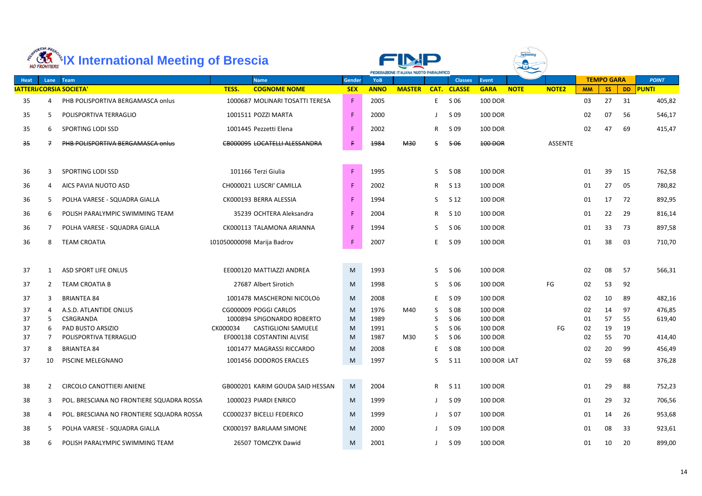|          | ORTIVA BRES  | <b>ARTICLE 18 International Meeting of Brescia</b> |                                                         |               | FEDERAZIONE ITALIANA NUOTO PARALIMPICO |               |              |                  |                           |             |                |           |                   |           |                  |
|----------|--------------|----------------------------------------------------|---------------------------------------------------------|---------------|----------------------------------------|---------------|--------------|------------------|---------------------------|-------------|----------------|-----------|-------------------|-----------|------------------|
| Heat     | Lane         | Team                                               | <b>Name</b>                                             | <b>Gender</b> | <b>YoB</b>                             |               |              | <b>Classes</b>   | <b>Event</b>              |             |                |           | <b>TEMPO GARA</b> |           | <b>POINT</b>     |
|          |              | <b>SATTERI/CORSIA SOCIETA'</b>                     | <b>COGNOME NOME</b><br>TESS.                            | <b>SEX</b>    | <b>ANNO</b>                            | <b>MASTER</b> | CAT.         | <b>CLASSE</b>    | <b>GARA</b>               | <b>NOTE</b> | <b>NOTE2</b>   | <b>MM</b> | <b>SS</b>         | <b>DD</b> | <b>PUNTI</b>     |
| 35       | 4            | PHB POLISPORTIVA BERGAMASCA onlus                  | 1000687 MOLINARI TOSATTI TERESA                         | F             | 2005                                   |               | E.           | S 06             | <b>100 DOR</b>            |             |                | 03        | 27                | 31        | 405,82           |
| 35       | 5.           | POLISPORTIVA TERRAGLIO                             | 1001511 POZZI MARTA                                     | F             | 2000                                   |               |              | S 09             | <b>100 DOR</b>            |             |                | 02        | 07                | 56        | 546,17           |
| 35       | 6            | SPORTING LODI SSD                                  | 1001445 Pezzetti Elena                                  | F.            | 2002                                   |               | R            | S 09             | <b>100 DOR</b>            |             |                | 02        | 47                | 69        | 415,47           |
| 35       |              | PHB POLISPORTIVA BERGAMASCA onlus                  | <b>CB000095 LOCATELLI ALESSANDRA</b>                    | £.            | 1984                                   | <b>M30</b>    | S            | <del>\$ 06</del> | 100 DOR                   |             | <b>ASSENTE</b> |           |                   |           |                  |
| 36       | 3            | SPORTING LODI SSD                                  | 101166 Terzi Giulia                                     | F             | 1995                                   |               | S.           | S 08             | <b>100 DOR</b>            |             |                | 01        | 39                | 15        | 762,58           |
| 36       | 4            | AICS PAVIA NUOTO ASD                               | CH000021 LUSCRI' CAMILLA                                | F             | 2002                                   |               | $\mathsf{R}$ | S <sub>13</sub>  | <b>100 DOR</b>            |             |                | 01        | 27                | 05        | 780,82           |
| 36       | 5.           | POLHA VARESE - SQUADRA GIALLA                      | CK000193 BERRA ALESSIA                                  | F             | 1994                                   |               | S.           | S 12             | <b>100 DOR</b>            |             |                | 01        | 17                | 72        | 892,95           |
| 36       | 6            | POLISH PARALYMPIC SWIMMING TEAM                    | 35239 OCHTERA Aleksandra                                | F             | 2004                                   |               | R.           | S 10             | <b>100 DOR</b>            |             |                | 01        | 22                | -29       | 816,14           |
| 36       | 7            | POLHA VARESE - SQUADRA GIALLA                      | CK000113 TALAMONA ARIANNA                               | F.            | 1994                                   |               | S.           | S 06             | <b>100 DOR</b>            |             |                | 01        | 33                | 73        | 897,58           |
| 36       | 8            | <b>TEAM CROATIA</b>                                | 101050000098 Marija Badrov                              | F.            | 2007                                   |               | E            | S 09             | <b>100 DOR</b>            |             |                | 01        | 38                | 03        | 710,70           |
|          |              |                                                    |                                                         |               |                                        |               |              |                  |                           |             |                |           |                   |           |                  |
| 37       | 1            | ASD SPORT LIFE ONLUS                               | EE000120 MATTIAZZI ANDREA                               | M             | 1993                                   |               | S.           | S 06             | <b>100 DOR</b>            |             |                | 02        | 08                | 57        | 566,31           |
| 37       | $\mathbf{2}$ | <b>TEAM CROATIA B</b>                              | 27687 Albert Sirotich                                   | M             | 1998                                   |               | S.           | S 06             | <b>100 DOR</b>            |             | FG             | 02        | 53                | 92        |                  |
| 37       | 3            | <b>BRIANTEA 84</b>                                 | 1001478 MASCHERONI NICOLOÒ                              | M             | 2008                                   |               | E.           | S 09             | <b>100 DOR</b>            |             |                | 02        | 10                | 89        | 482,16           |
| 37       |              | A.S.D. ATLANTIDE ONLUS                             | CG000009 POGGI CARLOS                                   | M             | 1976                                   | M40           | S            | S 08             | <b>100 DOR</b>            |             |                | 02        | 14                | 97        | 476,85           |
| 37       | 5            | CSRGRANDA                                          | 1000894 SPIGONARDO ROBERTO                              | M             | 1989                                   |               | S            | S 06             | <b>100 DOR</b>            |             |                | 01        | 57                | 55        | 619,40           |
| 37       | 6            | PAD BUSTO ARSIZIO                                  | CK000034<br><b>CASTIGLIONI SAMUELE</b>                  | M             | 1991                                   |               | S.           | S 06             | <b>100 DOR</b>            |             | FG             | 02        | 19                | 19        |                  |
| 37       |              | POLISPORTIVA TERRAGLIO<br><b>BRIANTEA 84</b>       | EF000138 COSTANTINI ALVISE<br>1001477 MAGRASSI RICCARDO | M             | 1987<br>2008                           | M30           | S.           | S 06             | <b>100 DOR</b><br>100 DOR |             |                | 02        | 55<br>20          | 70        | 414,40           |
| 37<br>37 | 8<br>10      | PISCINE MELEGNANO                                  | 1001456 DODOROS ERACLES                                 | M<br>M        | 1997                                   |               | E.<br>S.     | S 08<br>S 11     | 100 DOR LAT               |             |                | 02<br>02  | 59                | 99<br>68  | 456,49<br>376,28 |
|          |              |                                                    |                                                         |               |                                        |               |              |                  |                           |             |                |           |                   |           |                  |
| 38       | 2            | <b>CIRCOLO CANOTTIERI ANIENE</b>                   | GB000201 KARIM GOUDA SAID HESSAN                        | M             | 2004                                   |               |              | R S 11           | 100 DOR                   |             |                | 01        | 29                | 88        | 752,23           |
| 38       | 3            | POL. BRESCIANA NO FRONTIERE SQUADRA ROSSA          | 1000023 PIARDI ENRICO                                   | M             | 1999                                   |               |              | S 09             | 100 DOR                   |             |                | 01        | 29                | 32        | 706,56           |
| 38       | 4            | POL. BRESCIANA NO FRONTIERE SQUADRA ROSSA          | CC000237 BICELLI FEDERICO                               | M             | 1999                                   |               |              | S 07             | 100 DOR                   |             |                | 01        | 14                | 26        | 953,68           |
| 38       | 5.           | POLHA VARESE - SQUADRA GIALLA                      | CK000197 BARLAAM SIMONE                                 | M             | 2000                                   |               |              | S 09             | 100 DOR                   |             |                | 01        | 08                | 33        | 923,61           |
| 38       | 6            | POLISH PARALYMPIC SWIMMING TEAM                    | 26507 TOMCZYK Dawid                                     | M             | 2001                                   |               | $\mathbf{J}$ | S 09             | <b>100 DOR</b>            |             |                | 01        | 10                | 20        | 899,00           |